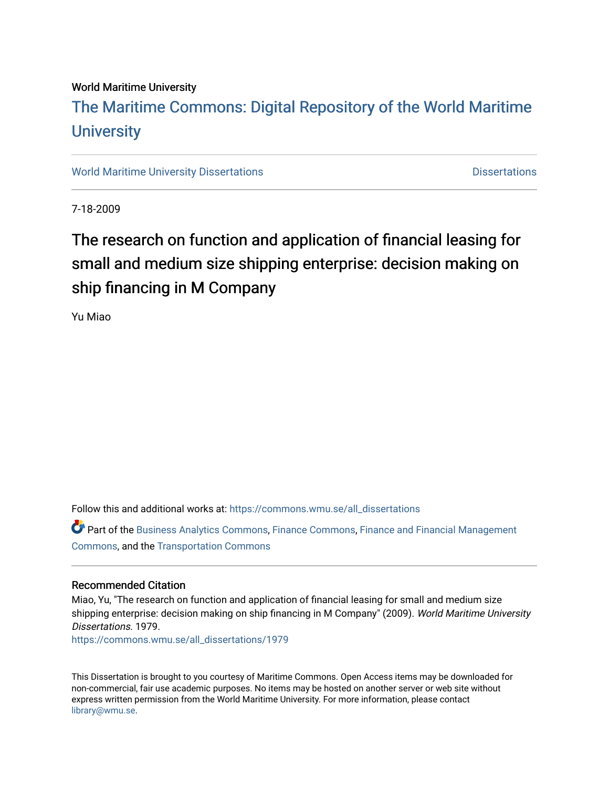#### World Maritime University

## [The Maritime Commons: Digital Repository of the World Maritime](https://commons.wmu.se/)  **University**

[World Maritime University Dissertations](https://commons.wmu.se/all_dissertations) **Distributions** [Dissertations](https://commons.wmu.se/dissertations) Dissertations

7-18-2009

## The research on function and application of financial leasing for small and medium size shipping enterprise: decision making on ship financing in M Company

Yu Miao

Follow this and additional works at: [https://commons.wmu.se/all\\_dissertations](https://commons.wmu.se/all_dissertations?utm_source=commons.wmu.se%2Fall_dissertations%2F1979&utm_medium=PDF&utm_campaign=PDFCoverPages) 

Part of the [Business Analytics Commons](http://network.bepress.com/hgg/discipline/1398?utm_source=commons.wmu.se%2Fall_dissertations%2F1979&utm_medium=PDF&utm_campaign=PDFCoverPages), [Finance Commons](http://network.bepress.com/hgg/discipline/345?utm_source=commons.wmu.se%2Fall_dissertations%2F1979&utm_medium=PDF&utm_campaign=PDFCoverPages), [Finance and Financial Management](http://network.bepress.com/hgg/discipline/631?utm_source=commons.wmu.se%2Fall_dissertations%2F1979&utm_medium=PDF&utm_campaign=PDFCoverPages)  [Commons](http://network.bepress.com/hgg/discipline/631?utm_source=commons.wmu.se%2Fall_dissertations%2F1979&utm_medium=PDF&utm_campaign=PDFCoverPages), and the [Transportation Commons](http://network.bepress.com/hgg/discipline/1068?utm_source=commons.wmu.se%2Fall_dissertations%2F1979&utm_medium=PDF&utm_campaign=PDFCoverPages)

#### Recommended Citation

Miao, Yu, "The research on function and application of financial leasing for small and medium size shipping enterprise: decision making on ship financing in M Company" (2009). World Maritime University Dissertations. 1979.

[https://commons.wmu.se/all\\_dissertations/1979](https://commons.wmu.se/all_dissertations/1979?utm_source=commons.wmu.se%2Fall_dissertations%2F1979&utm_medium=PDF&utm_campaign=PDFCoverPages)

This Dissertation is brought to you courtesy of Maritime Commons. Open Access items may be downloaded for non-commercial, fair use academic purposes. No items may be hosted on another server or web site without express written permission from the World Maritime University. For more information, please contact [library@wmu.se](mailto:library@wmu.edu).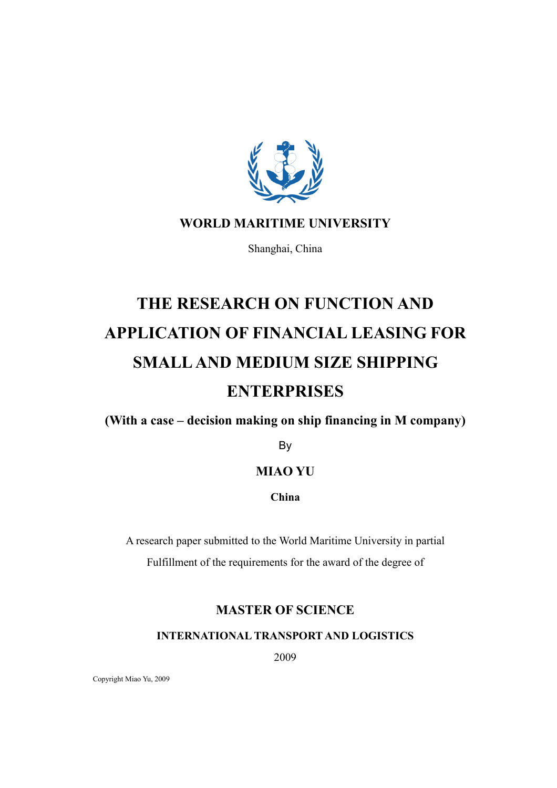

### WORLD MARITIME UNIVERSITY

Shanghai, China

# THE RESEARCH ON FUNCTION AND APPLICATION OF FINANCIAL LEASING FOR SMALL AND MEDIUM SIZE SHIPPING **ENTERPRISES**

(With a case – decision making on ship financing in M company)

By

### MIAO YU

China

A research paper submitted to the World Maritime University in partial Fulfillment of the requirements for the award of the degree of

### MASTER OF SCIENCE

INTERNATIONAL TRANSPORT AND LOGISTICS

2009

Copyright Miao Yu, 2009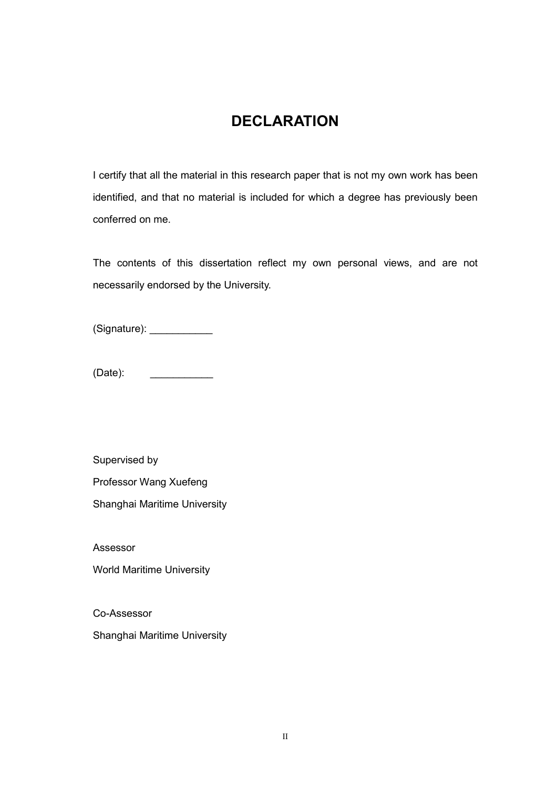## **DECLARATION**

I certify that all the material in this research paper that is not my own work has been identified, and that no material is included for which a degree has previously been conferred on me.

The contents of this dissertation reflect my own personal views, and are not necessarily endorsed by the University.

(Signature): \_\_\_\_\_\_\_\_\_\_\_\_\_\_

(Date): \_\_\_\_\_\_\_\_\_\_\_

Supervised by

Professor Wang Xuefeng

Shanghai Maritime University

Assessor

World Maritime University

Co-Assessor

Shanghai Maritime University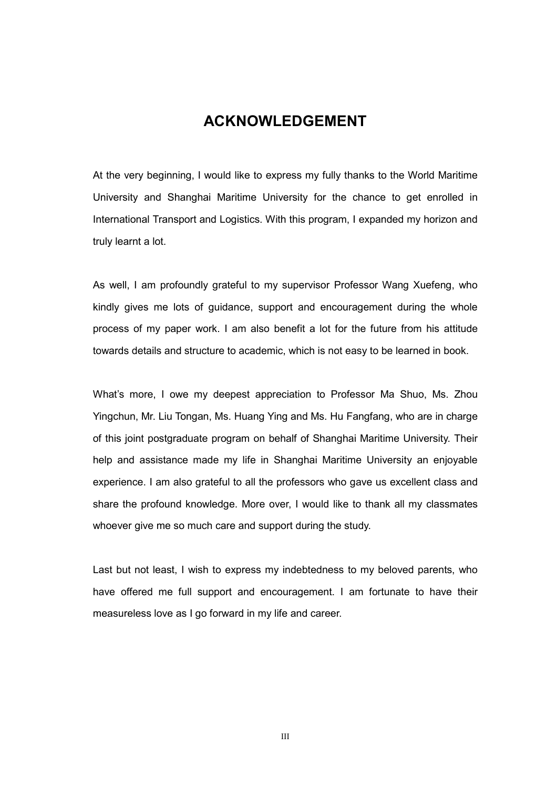### ACKNOWLEDGEMENT

At the very beginning, I would like to express my fully thanks to the World Maritime University and Shanghai Maritime University for the chance to get enrolled in International Transport and Logistics. With this program, I expanded my horizon and truly learnt a lot.

As well, I am profoundly grateful to my supervisor Professor Wang Xuefeng, who kindly gives me lots of guidance, support and encouragement during the whole process of my paper work. I am also benefit a lot for the future from his attitude towards details and structure to academic, which is not easy to be learned in book.

What's more, I owe my deepest appreciation to Professor Ma Shuo, Ms. Zhou Yingchun, Mr. Liu Tongan, Ms. Huang Ying and Ms. Hu Fangfang, who are in charge of this joint postgraduate program on behalf of Shanghai Maritime University. Their help and assistance made my life in Shanghai Maritime University an enjoyable experience. I am also grateful to all the professors who gave us excellent class and share the profound knowledge. More over, I would like to thank all my classmates whoever give me so much care and support during the study.

Last but not least, I wish to express my indebtedness to my beloved parents, who have offered me full support and encouragement. I am fortunate to have their measureless love as I go forward in my life and career.

III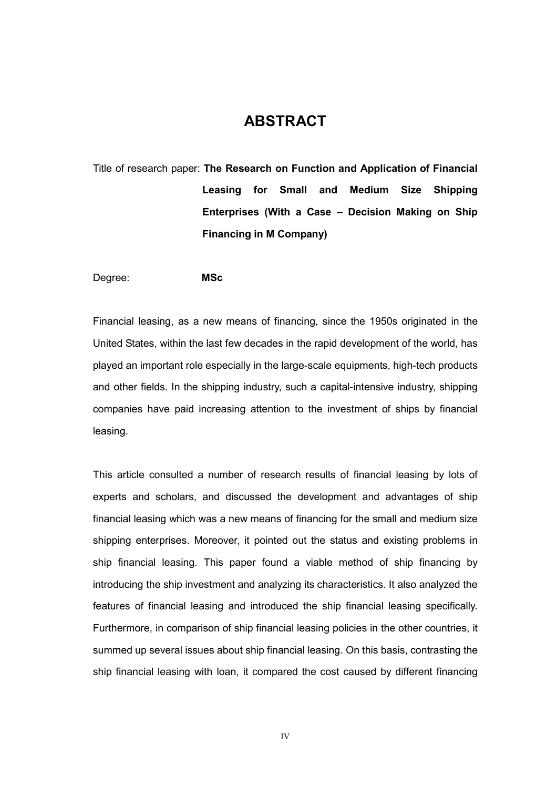## ABSTRACT

Title of research paper: The Research on Function and Application of Financial Leasing for Small and Medium Size Shipping Enterprises (With a Case – Decision Making on Ship Financing in M Company)

Degree: MSc

Financial leasing, as a new means of financing, since the 1950s originated in the United States, within the last few decades in the rapid development of the world, has played an important role especially in the large-scale equipments, high-tech products and other fields. In the shipping industry, such a capital-intensive industry, shipping companies have paid increasing attention to the investment of ships by financial leasing.

This article consulted a number of research results of financial leasing by lots of experts and scholars, and discussed the development and advantages of ship financial leasing which was a new means of financing for the small and medium size shipping enterprises. Moreover, it pointed out the status and existing problems in ship financial leasing. This paper found a viable method of ship financing by introducing the ship investment and analyzing its characteristics. It also analyzed the features of financial leasing and introduced the ship financial leasing specifically. Furthermore, in comparison of ship financial leasing policies in the other countries, it summed up several issues about ship financial leasing. On this basis, contrasting the ship financial leasing with loan, it compared the cost caused by different financing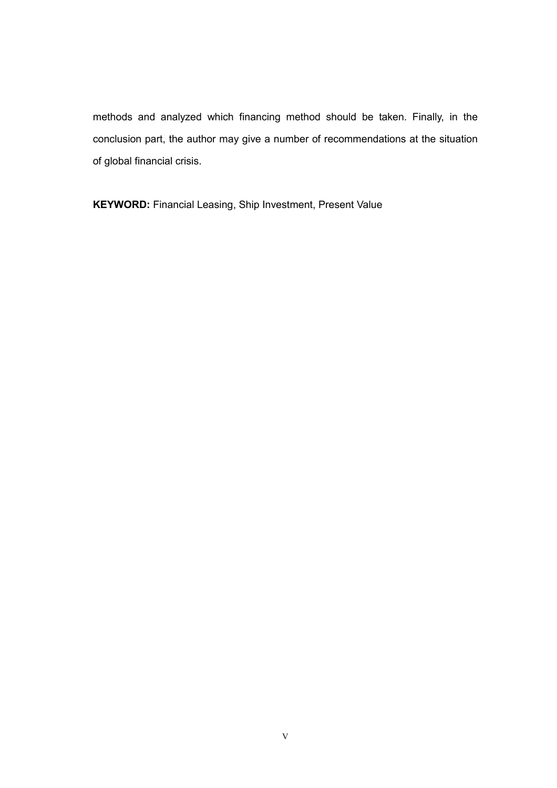methods and analyzed which financing method should be taken. Finally, in the conclusion part, the author may give a number of recommendations at the situation of global financial crisis.

KEYWORD: Financial Leasing, Ship Investment, Present Value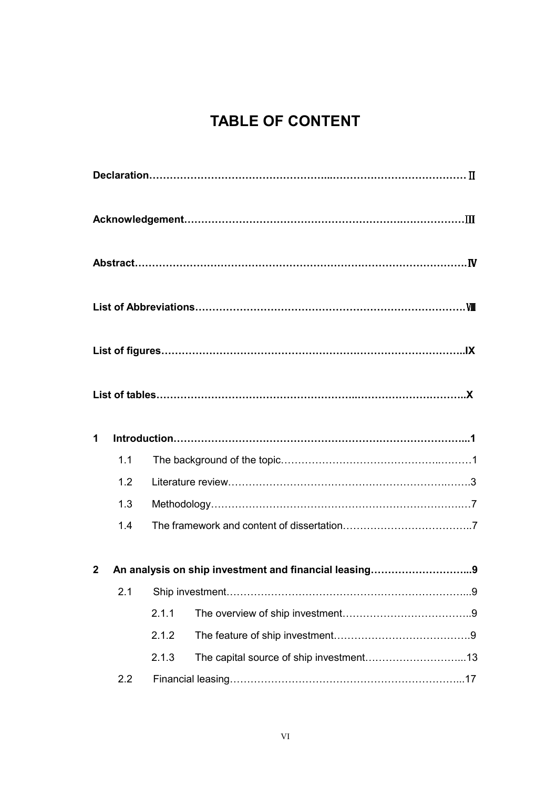## TABLE OF CONTENT

| $\mathbf 1$    |     |       |                                                       |
|----------------|-----|-------|-------------------------------------------------------|
|                | 1.1 |       |                                                       |
|                | 1.2 |       |                                                       |
|                | 1.3 |       |                                                       |
|                | 1.4 |       |                                                       |
| $\overline{2}$ |     |       | An analysis on ship investment and financial leasing9 |
|                | 2.1 |       |                                                       |
|                |     | 2.1.1 |                                                       |
|                |     | 2.1.2 |                                                       |
|                |     | 2.1.3 |                                                       |
|                | 2.2 |       |                                                       |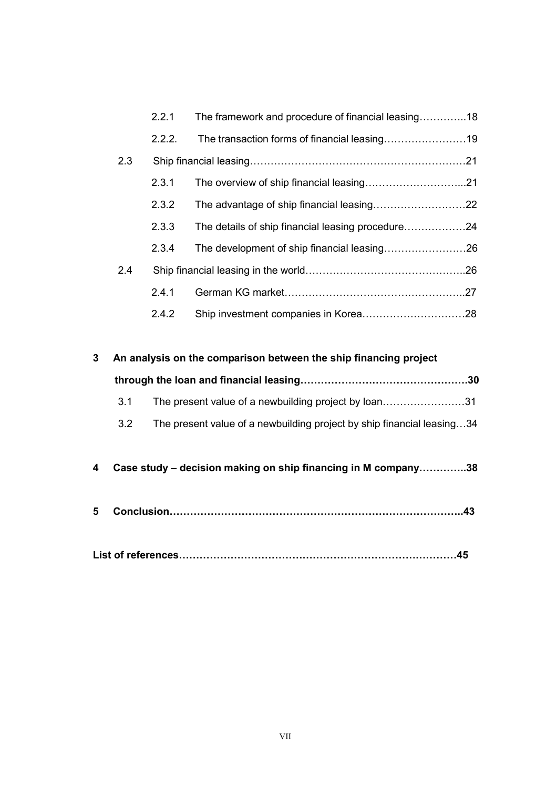|              |     | 2.2.1  | The framework and procedure of financial leasing18                     |
|--------------|-----|--------|------------------------------------------------------------------------|
|              |     | 2.2.2. | The transaction forms of financial leasing19                           |
|              | 2.3 |        |                                                                        |
|              |     | 2.3.1  |                                                                        |
|              |     | 2.3.2  |                                                                        |
|              |     | 2.3.3  | The details of ship financial leasing procedure24                      |
|              |     | 2.3.4  |                                                                        |
|              | 2.4 |        |                                                                        |
|              |     | 2.4.1  |                                                                        |
|              |     | 2.4.2  |                                                                        |
|              |     |        |                                                                        |
| $\mathbf{3}$ |     |        | An analysis on the comparison between the ship financing project       |
|              |     |        |                                                                        |
|              | 3.1 |        | The present value of a newbuilding project by loan31                   |
|              | 3.2 |        | The present value of a newbuilding project by ship financial leasing34 |
|              |     |        |                                                                        |
| 4            |     |        | Case study - decision making on ship financing in M company38          |
|              |     |        |                                                                        |
| 5            |     |        |                                                                        |
|              |     |        |                                                                        |

|--|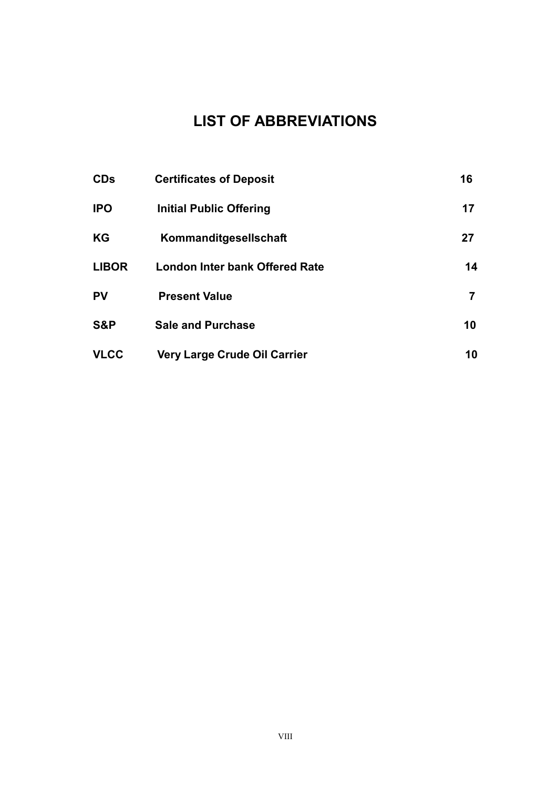## LIST OF ABBREVIATIONS

| <b>CDs</b>   | <b>Certificates of Deposit</b>        | 16 |
|--------------|---------------------------------------|----|
| <b>IPO</b>   | <b>Initial Public Offering</b>        | 17 |
| KG           | Kommanditgesellschaft                 | 27 |
| <b>LIBOR</b> | <b>London Inter bank Offered Rate</b> | 14 |
| <b>PV</b>    | <b>Present Value</b>                  | 7  |
| S&P          | <b>Sale and Purchase</b>              | 10 |
| <b>VLCC</b>  | Very Large Crude Oil Carrier          | 10 |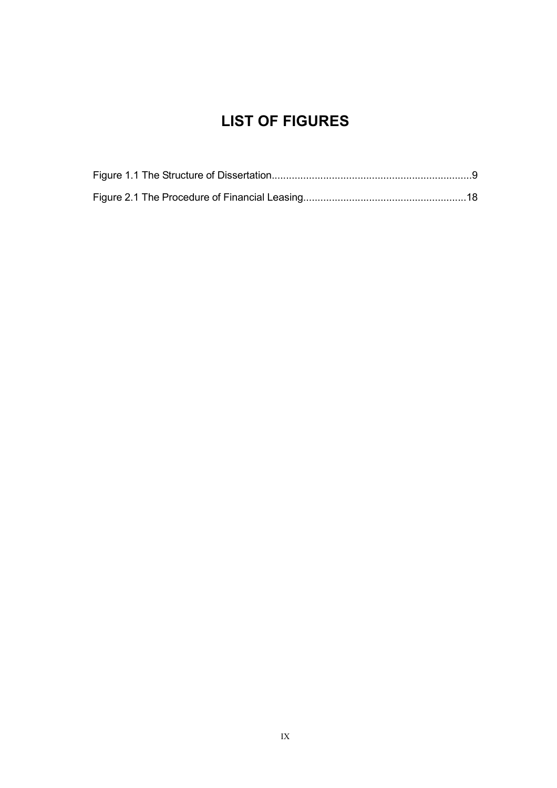## LIST OF FIGURES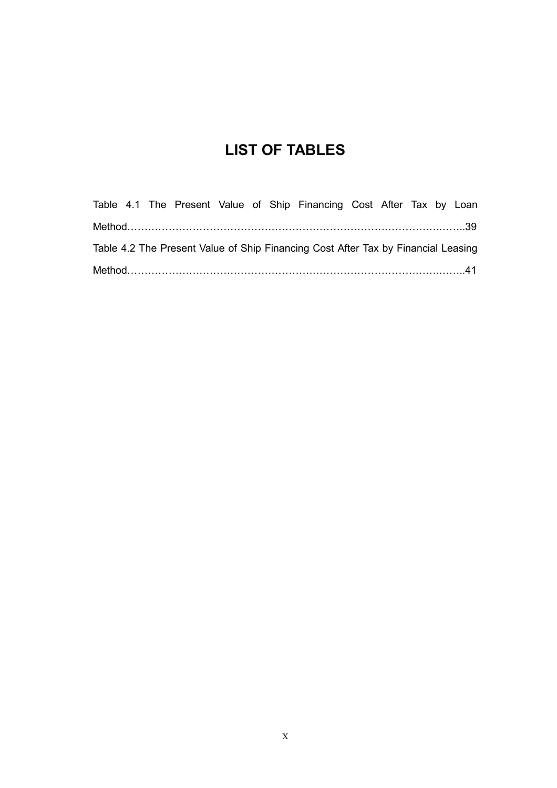## LIST OF TABLES

|  |  |  | Table 4.1 The Present Value of Ship Financing Cost After Tax by Loan              |  |  |  |
|--|--|--|-----------------------------------------------------------------------------------|--|--|--|
|  |  |  |                                                                                   |  |  |  |
|  |  |  | Table 4.2 The Present Value of Ship Financing Cost After Tax by Financial Leasing |  |  |  |
|  |  |  |                                                                                   |  |  |  |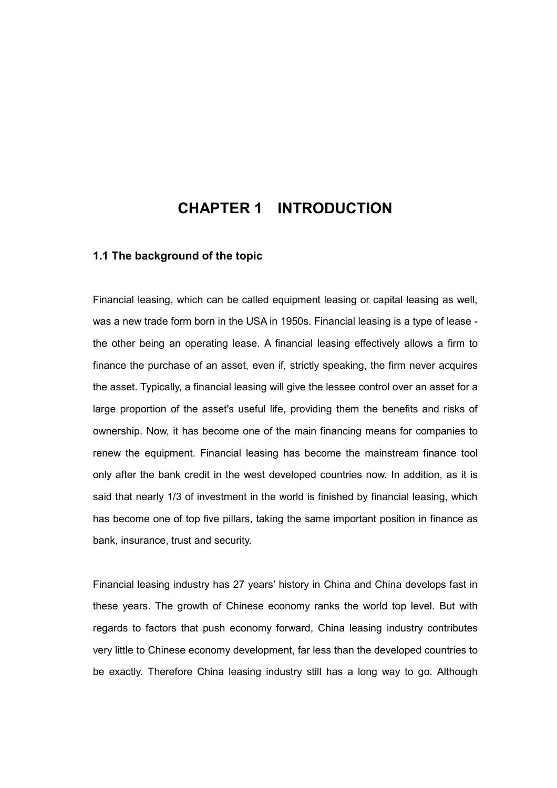## CHAPTER 1 INTRODUCTION

#### 1.1 The background of the topic

Financial leasing, which can be called equipment leasing or capital leasing as well, was a new trade form born in the USA in 1950s. Financial leasing is a type of lease the other being an operating lease. A financial leasing effectively allows a firm to finance the purchase of an asset, even if, strictly speaking, the firm never acquires the asset. Typically, a financial leasing will give the lessee control over an asset for a large proportion of the asset's useful life, providing them the benefits and risks of ownership. Now, it has become one of the main financing means for companies to renew the equipment. Financial leasing has become the mainstream finance tool only after the bank credit in the west developed countries now. In addition, as it is said that nearly 1/3 of investment in the world is finished by financial leasing, which has become one of top five pillars, taking the same important position in finance as bank, insurance, trust and security.

Financial leasing industry has 27 years' history in China and China develops fast in these years. The growth of Chinese economy ranks the world top level. But with regards to factors that push economy forward, China leasing industry contributes very little to Chinese economy development, far less than the developed countries to be exactly. Therefore China leasing industry still has a long way to go. Although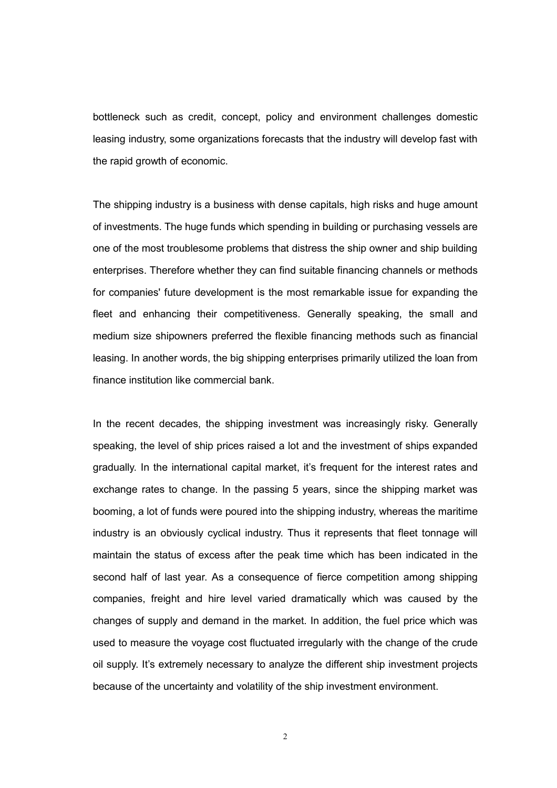bottleneck such as credit, concept, policy and environment challenges domestic leasing industry, some organizations forecasts that the industry will develop fast with the rapid growth of economic.

The shipping industry is a business with dense capitals, high risks and huge amount of investments. The huge funds which spending in building or purchasing vessels are one of the most troublesome problems that distress the ship owner and ship building enterprises. Therefore whether they can find suitable financing channels or methods for companies' future development is the most remarkable issue for expanding the fleet and enhancing their competitiveness. Generally speaking, the small and medium size shipowners preferred the flexible financing methods such as financial leasing. In another words, the big shipping enterprises primarily utilized the loan from finance institution like commercial bank.

In the recent decades, the shipping investment was increasingly risky. Generally speaking, the level of ship prices raised a lot and the investment of ships expanded gradually. In the international capital market, it's frequent for the interest rates and exchange rates to change. In the passing 5 years, since the shipping market was booming, a lot of funds were poured into the shipping industry, whereas the maritime industry is an obviously cyclical industry. Thus it represents that fleet tonnage will maintain the status of excess after the peak time which has been indicated in the second half of last year. As a consequence of fierce competition among shipping companies, freight and hire level varied dramatically which was caused by the changes of supply and demand in the market. In addition, the fuel price which was used to measure the voyage cost fluctuated irregularly with the change of the crude oil supply. It's extremely necessary to analyze the different ship investment projects because of the uncertainty and volatility of the ship investment environment.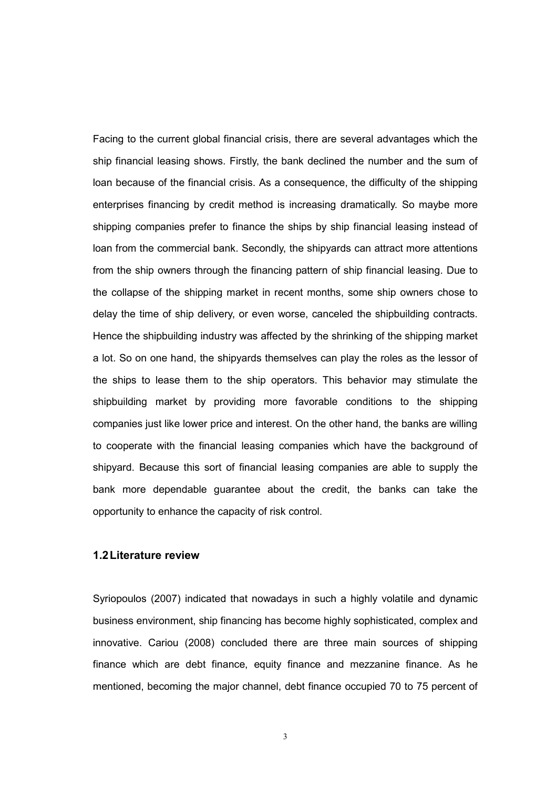Facing to the current global financial crisis, there are several advantages which the ship financial leasing shows. Firstly, the bank declined the number and the sum of loan because of the financial crisis. As a consequence, the difficulty of the shipping enterprises financing by credit method is increasing dramatically. So maybe more shipping companies prefer to finance the ships by ship financial leasing instead of loan from the commercial bank. Secondly, the shipyards can attract more attentions from the ship owners through the financing pattern of ship financial leasing. Due to the collapse of the shipping market in recent months, some ship owners chose to delay the time of ship delivery, or even worse, canceled the shipbuilding contracts. Hence the shipbuilding industry was affected by the shrinking of the shipping market a lot. So on one hand, the shipyards themselves can play the roles as the lessor of the ships to lease them to the ship operators. This behavior may stimulate the shipbuilding market by providing more favorable conditions to the shipping companies just like lower price and interest. On the other hand, the banks are willing to cooperate with the financial leasing companies which have the background of shipyard. Because this sort of financial leasing companies are able to supply the bank more dependable guarantee about the credit, the banks can take the opportunity to enhance the capacity of risk control.

#### 1.2 Literature review

Syriopoulos (2007) indicated that nowadays in such a highly volatile and dynamic business environment, ship financing has become highly sophisticated, complex and innovative. Cariou (2008) concluded there are three main sources of shipping finance which are debt finance, equity finance and mezzanine finance. As he mentioned, becoming the major channel, debt finance occupied 70 to 75 percent of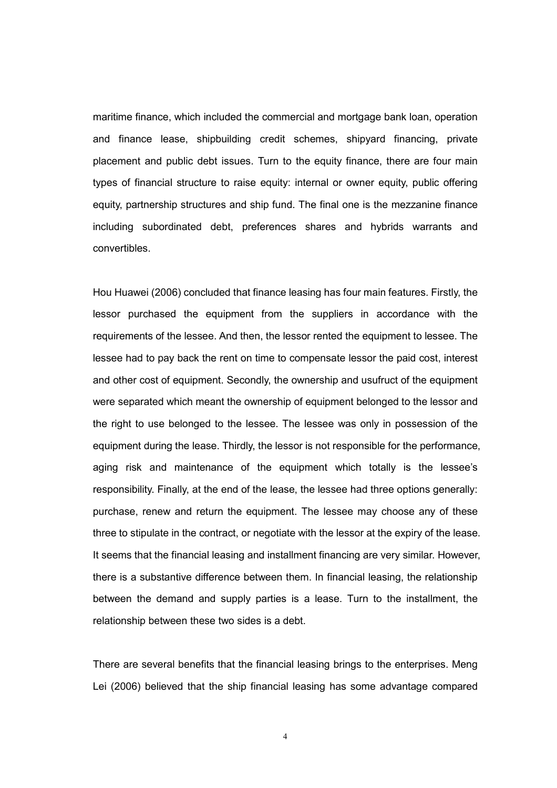maritime finance, which included the commercial and mortgage bank loan, operation and finance lease, shipbuilding credit schemes, shipyard financing, private placement and public debt issues. Turn to the equity finance, there are four main types of financial structure to raise equity: internal or owner equity, public offering equity, partnership structures and ship fund. The final one is the mezzanine finance including subordinated debt, preferences shares and hybrids warrants and convertibles.

Hou Huawei (2006) concluded that finance leasing has four main features. Firstly, the lessor purchased the equipment from the suppliers in accordance with the requirements of the lessee. And then, the lessor rented the equipment to lessee. The lessee had to pay back the rent on time to compensate lessor the paid cost, interest and other cost of equipment. Secondly, the ownership and usufruct of the equipment were separated which meant the ownership of equipment belonged to the lessor and the right to use belonged to the lessee. The lessee was only in possession of the equipment during the lease. Thirdly, the lessor is not responsible for the performance, aging risk and maintenance of the equipment which totally is the lessee's responsibility. Finally, at the end of the lease, the lessee had three options generally: purchase, renew and return the equipment. The lessee may choose any of these three to stipulate in the contract, or negotiate with the lessor at the expiry of the lease. It seems that the financial leasing and installment financing are very similar. However, there is a substantive difference between them. In financial leasing, the relationship between the demand and supply parties is a lease. Turn to the installment, the relationship between these two sides is a debt.

There are several benefits that the financial leasing brings to the enterprises. Meng Lei (2006) believed that the ship financial leasing has some advantage compared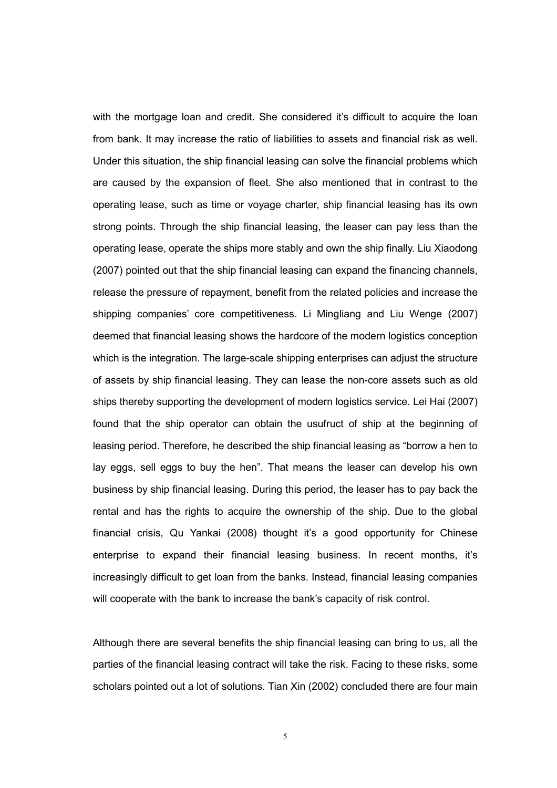with the mortgage loan and credit. She considered it's difficult to acquire the loan from bank. It may increase the ratio of liabilities to assets and financial risk as well. Under this situation, the ship financial leasing can solve the financial problems which are caused by the expansion of fleet. She also mentioned that in contrast to the operating lease, such as time or voyage charter, ship financial leasing has its own strong points. Through the ship financial leasing, the leaser can pay less than the operating lease, operate the ships more stably and own the ship finally. Liu Xiaodong (2007) pointed out that the ship financial leasing can expand the financing channels, release the pressure of repayment, benefit from the related policies and increase the shipping companies' core competitiveness. Li Mingliang and Liu Wenge (2007) deemed that financial leasing shows the hardcore of the modern logistics conception which is the integration. The large-scale shipping enterprises can adjust the structure of assets by ship financial leasing. They can lease the non-core assets such as old ships thereby supporting the development of modern logistics service. Lei Hai (2007) found that the ship operator can obtain the usufruct of ship at the beginning of leasing period. Therefore, he described the ship financial leasing as "borrow a hen to lay eggs, sell eggs to buy the hen". That means the leaser can develop his own business by ship financial leasing. During this period, the leaser has to pay back the rental and has the rights to acquire the ownership of the ship. Due to the global financial crisis, Qu Yankai (2008) thought it's a good opportunity for Chinese enterprise to expand their financial leasing business. In recent months, it's increasingly difficult to get loan from the banks. Instead, financial leasing companies will cooperate with the bank to increase the bank's capacity of risk control.

Although there are several benefits the ship financial leasing can bring to us, all the parties of the financial leasing contract will take the risk. Facing to these risks, some scholars pointed out a lot of solutions. Tian Xin (2002) concluded there are four main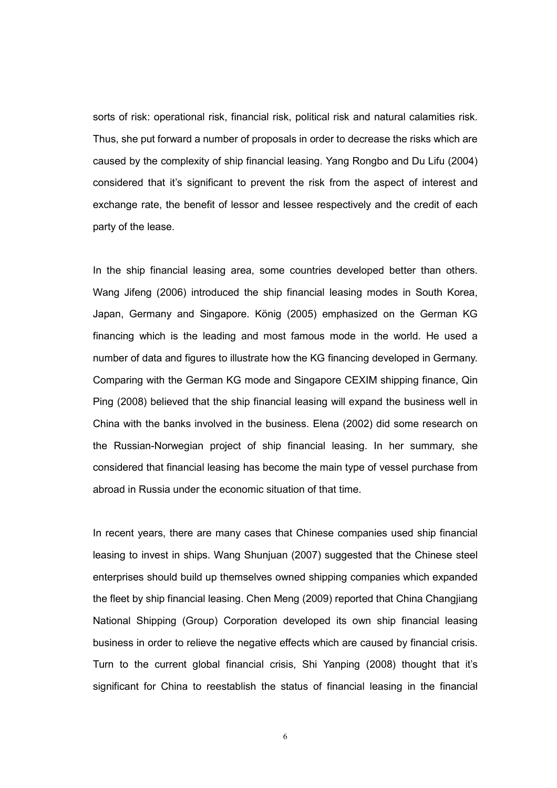sorts of risk: operational risk, financial risk, political risk and natural calamities risk. Thus, she put forward a number of proposals in order to decrease the risks which are caused by the complexity of ship financial leasing. Yang Rongbo and Du Lifu (2004) considered that it's significant to prevent the risk from the aspect of interest and exchange rate, the benefit of lessor and lessee respectively and the credit of each party of the lease.

In the ship financial leasing area, some countries developed better than others. Wang Jifeng (2006) introduced the ship financial leasing modes in South Korea, Japan, Germany and Singapore. König (2005) emphasized on the German KG financing which is the leading and most famous mode in the world. He used a number of data and figures to illustrate how the KG financing developed in Germany. Comparing with the German KG mode and Singapore CEXIM shipping finance, Qin Ping (2008) believed that the ship financial leasing will expand the business well in China with the banks involved in the business. Elena (2002) did some research on the Russian-Norwegian project of ship financial leasing. In her summary, she considered that financial leasing has become the main type of vessel purchase from abroad in Russia under the economic situation of that time.

In recent years, there are many cases that Chinese companies used ship financial leasing to invest in ships. Wang Shunjuan (2007) suggested that the Chinese steel enterprises should build up themselves owned shipping companies which expanded the fleet by ship financial leasing. Chen Meng (2009) reported that China Changjiang National Shipping (Group) Corporation developed its own ship financial leasing business in order to relieve the negative effects which are caused by financial crisis. Turn to the current global financial crisis, Shi Yanping (2008) thought that it's significant for China to reestablish the status of financial leasing in the financial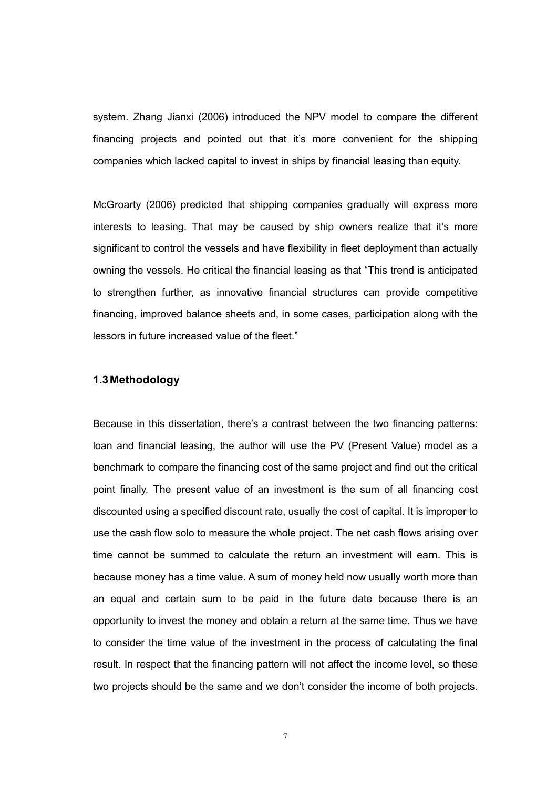system. Zhang Jianxi (2006) introduced the NPV model to compare the different financing projects and pointed out that it's more convenient for the shipping companies which lacked capital to invest in ships by financial leasing than equity.

McGroarty (2006) predicted that shipping companies gradually will express more interests to leasing. That may be caused by ship owners realize that it's more significant to control the vessels and have flexibility in fleet deployment than actually owning the vessels. He critical the financial leasing as that "This trend is anticipated to strengthen further, as innovative financial structures can provide competitive financing, improved balance sheets and, in some cases, participation along with the lessors in future increased value of the fleet."

#### 1.3 Methodology

Because in this dissertation, there's a contrast between the two financing patterns: loan and financial leasing, the author will use the PV (Present Value) model as a benchmark to compare the financing cost of the same project and find out the critical point finally. The present value of an investment is the sum of all financing cost discounted using a specified discount rate, usually the cost of capital. It is improper to use the cash flow solo to measure the whole project. The net cash flows arising over time cannot be summed to calculate the return an investment will earn. This is because money has a time value. A sum of money held now usually worth more than an equal and certain sum to be paid in the future date because there is an opportunity to invest the money and obtain a return at the same time. Thus we have to consider the time value of the investment in the process of calculating the final result. In respect that the financing pattern will not affect the income level, so these two projects should be the same and we don't consider the income of both projects.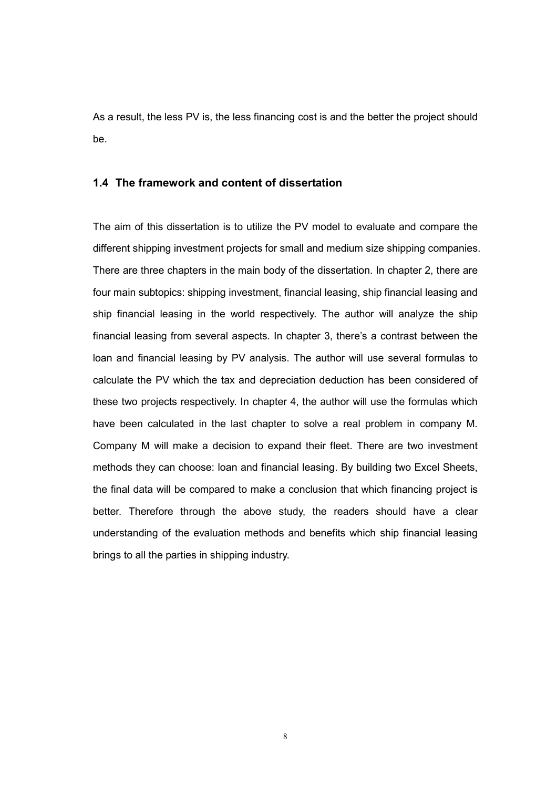As a result, the less PV is, the less financing cost is and the better the project should be.

#### 1.4 The framework and content of dissertation

The aim of this dissertation is to utilize the PV model to evaluate and compare the different shipping investment projects for small and medium size shipping companies. There are three chapters in the main body of the dissertation. In chapter 2, there are four main subtopics: shipping investment, financial leasing, ship financial leasing and ship financial leasing in the world respectively. The author will analyze the ship financial leasing from several aspects. In chapter 3, there's a contrast between the loan and financial leasing by PV analysis. The author will use several formulas to calculate the PV which the tax and depreciation deduction has been considered of these two projects respectively. In chapter 4, the author will use the formulas which have been calculated in the last chapter to solve a real problem in company M. Company M will make a decision to expand their fleet. There are two investment methods they can choose: loan and financial leasing. By building two Excel Sheets, the final data will be compared to make a conclusion that which financing project is better. Therefore through the above study, the readers should have a clear understanding of the evaluation methods and benefits which ship financial leasing brings to all the parties in shipping industry.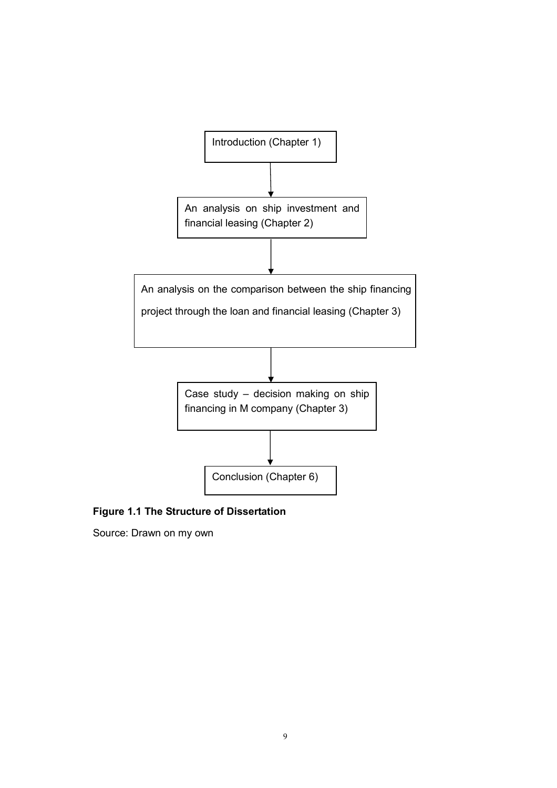

Figure 1.1 The Structure of Dissertation

Source: Drawn on my own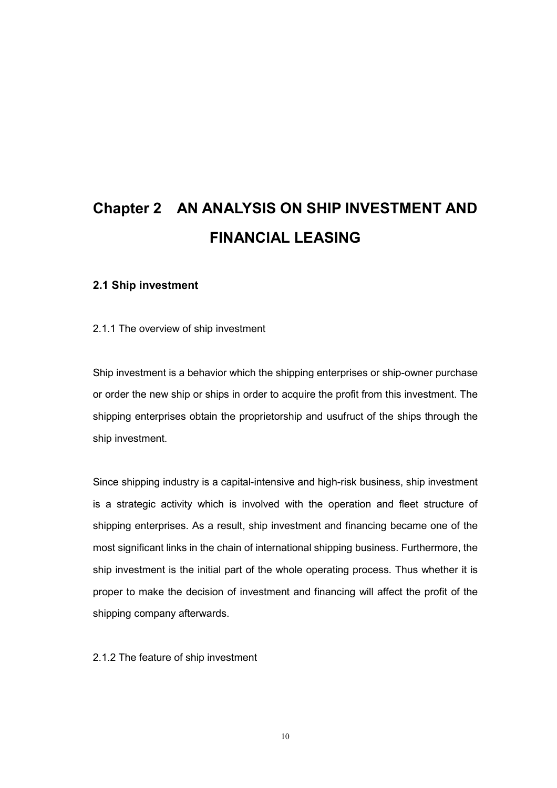## Chapter 2 AN ANALYSIS ON SHIP INVESTMENT AND FINANCIAL LEASING

#### 2.1 Ship investment

#### 2.1.1 The overview of ship investment

Ship investment is a behavior which the shipping enterprises or ship-owner purchase or order the new ship or ships in order to acquire the profit from this investment. The shipping enterprises obtain the proprietorship and usufruct of the ships through the ship investment.

Since shipping industry is a capital-intensive and high-risk business, ship investment is a strategic activity which is involved with the operation and fleet structure of shipping enterprises. As a result, ship investment and financing became one of the most significant links in the chain of international shipping business. Furthermore, the ship investment is the initial part of the whole operating process. Thus whether it is proper to make the decision of investment and financing will affect the profit of the shipping company afterwards.

2.1.2 The feature of ship investment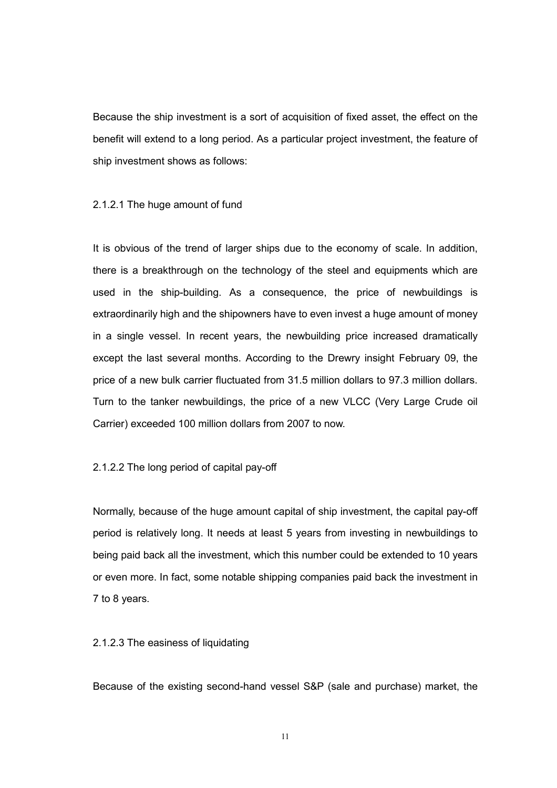Because the ship investment is a sort of acquisition of fixed asset, the effect on the benefit will extend to a long period. As a particular project investment, the feature of ship investment shows as follows:

#### 2.1.2.1 The huge amount of fund

It is obvious of the trend of larger ships due to the economy of scale. In addition, there is a breakthrough on the technology of the steel and equipments which are used in the ship-building. As a consequence, the price of newbuildings is extraordinarily high and the shipowners have to even invest a huge amount of money in a single vessel. In recent years, the newbuilding price increased dramatically except the last several months. According to the Drewry insight February 09, the price of a new bulk carrier fluctuated from 31.5 million dollars to 97.3 million dollars. Turn to the tanker newbuildings, the price of a new VLCC (Very Large Crude oil Carrier) exceeded 100 million dollars from 2007 to now.

#### 2.1.2.2 The long period of capital pay-off

Normally, because of the huge amount capital of ship investment, the capital pay-off period is relatively long. It needs at least 5 years from investing in newbuildings to being paid back all the investment, which this number could be extended to 10 years or even more. In fact, some notable shipping companies paid back the investment in 7 to 8 years.

#### 2.1.2.3 The easiness of liquidating

Because of the existing second-hand vessel S&P (sale and purchase) market, the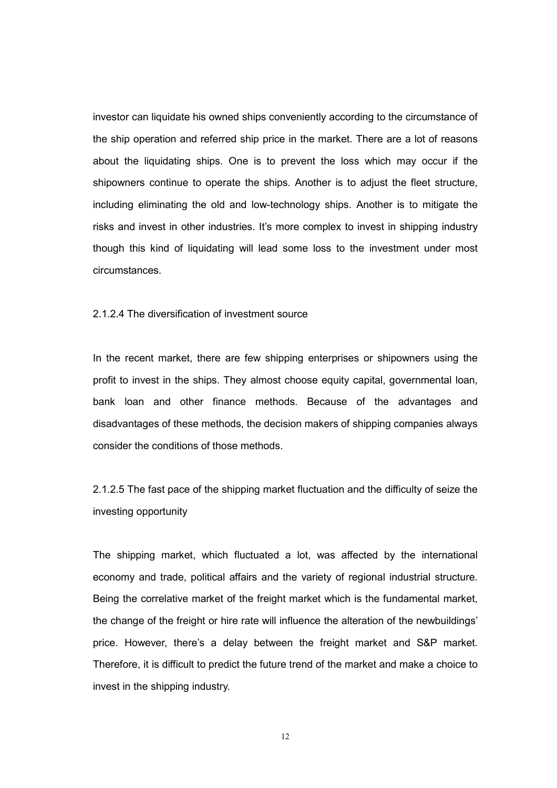investor can liquidate his owned ships conveniently according to the circumstance of the ship operation and referred ship price in the market. There are a lot of reasons about the liquidating ships. One is to prevent the loss which may occur if the shipowners continue to operate the ships. Another is to adjust the fleet structure, including eliminating the old and low-technology ships. Another is to mitigate the risks and invest in other industries. It's more complex to invest in shipping industry though this kind of liquidating will lead some loss to the investment under most circumstances.

2.1.2.4 The diversification of investment source

In the recent market, there are few shipping enterprises or shipowners using the profit to invest in the ships. They almost choose equity capital, governmental loan, bank loan and other finance methods. Because of the advantages and disadvantages of these methods, the decision makers of shipping companies always consider the conditions of those methods.

2.1.2.5 The fast pace of the shipping market fluctuation and the difficulty of seize the investing opportunity

The shipping market, which fluctuated a lot, was affected by the international economy and trade, political affairs and the variety of regional industrial structure. Being the correlative market of the freight market which is the fundamental market, the change of the freight or hire rate will influence the alteration of the newbuildings' price. However, there's a delay between the freight market and S&P market. Therefore, it is difficult to predict the future trend of the market and make a choice to invest in the shipping industry.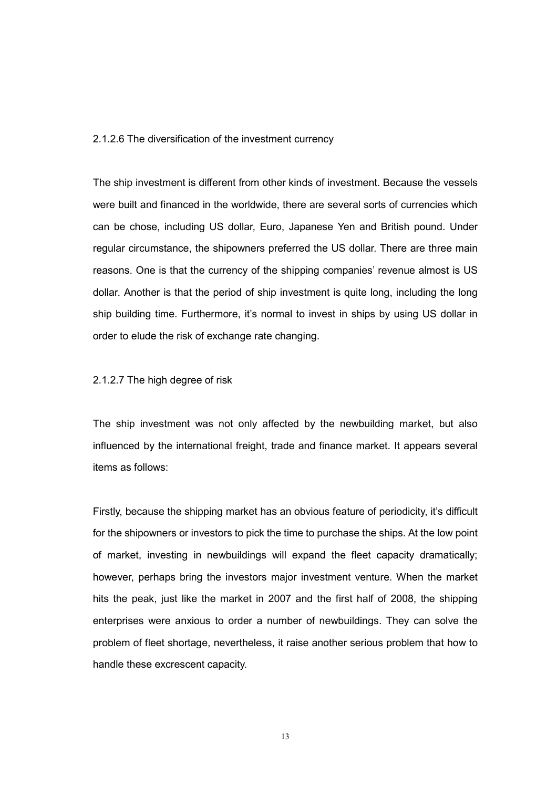#### 2.1.2.6 The diversification of the investment currency

The ship investment is different from other kinds of investment. Because the vessels were built and financed in the worldwide, there are several sorts of currencies which can be chose, including US dollar, Euro, Japanese Yen and British pound. Under regular circumstance, the shipowners preferred the US dollar. There are three main reasons. One is that the currency of the shipping companies' revenue almost is US dollar. Another is that the period of ship investment is quite long, including the long ship building time. Furthermore, it's normal to invest in ships by using US dollar in order to elude the risk of exchange rate changing.

#### 2.1.2.7 The high degree of risk

The ship investment was not only affected by the newbuilding market, but also influenced by the international freight, trade and finance market. It appears several items as follows:

Firstly, because the shipping market has an obvious feature of periodicity, it's difficult for the shipowners or investors to pick the time to purchase the ships. At the low point of market, investing in newbuildings will expand the fleet capacity dramatically; however, perhaps bring the investors major investment venture. When the market hits the peak, just like the market in 2007 and the first half of 2008, the shipping enterprises were anxious to order a number of newbuildings. They can solve the problem of fleet shortage, nevertheless, it raise another serious problem that how to handle these excrescent capacity.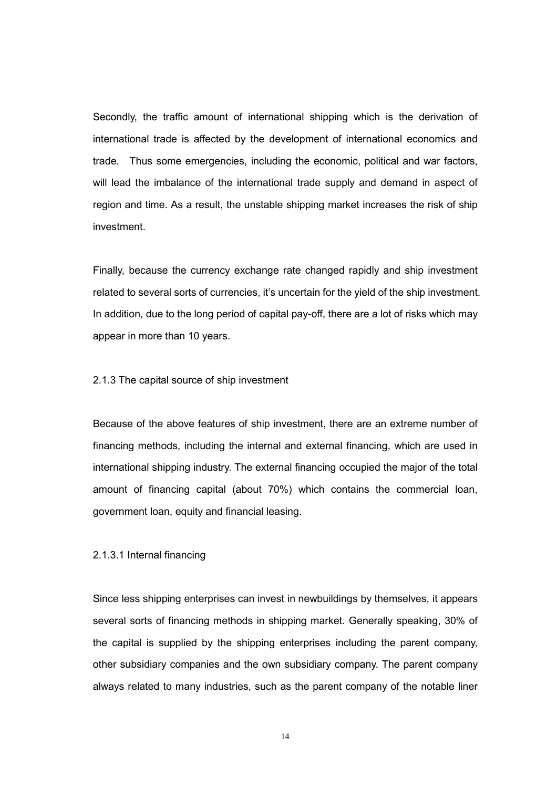Secondly, the traffic amount of international shipping which is the derivation of international trade is affected by the development of international economics and trade. Thus some emergencies, including the economic, political and war factors, will lead the imbalance of the international trade supply and demand in aspect of region and time. As a result, the unstable shipping market increases the risk of ship investment.

Finally, because the currency exchange rate changed rapidly and ship investment related to several sorts of currencies, it's uncertain for the yield of the ship investment. In addition, due to the long period of capital pay-off, there are a lot of risks which may appear in more than 10 years.

2.1.3 The capital source of ship investment

Because of the above features of ship investment, there are an extreme number of financing methods, including the internal and external financing, which are used in international shipping industry. The external financing occupied the major of the total amount of financing capital (about 70%) which contains the commercial loan, government loan, equity and financial leasing.

2.1.3.1 Internal financing

Since less shipping enterprises can invest in newbuildings by themselves, it appears several sorts of financing methods in shipping market. Generally speaking, 30% of the capital is supplied by the shipping enterprises including the parent company, other subsidiary companies and the own subsidiary company. The parent company always related to many industries, such as the parent company of the notable liner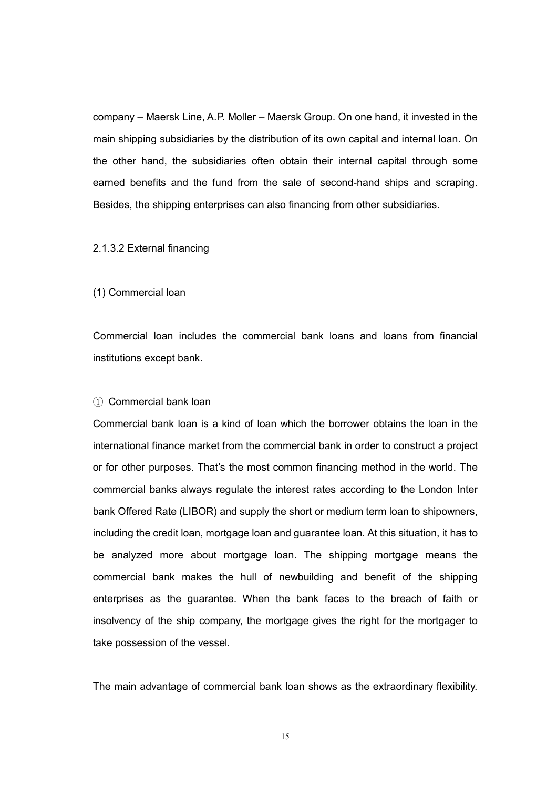company – Maersk Line, A.P. Moller – Maersk Group. On one hand, it invested in the main shipping subsidiaries by the distribution of its own capital and internal loan. On the other hand, the subsidiaries often obtain their internal capital through some earned benefits and the fund from the sale of second-hand ships and scraping. Besides, the shipping enterprises can also financing from other subsidiaries.

#### 2.1.3.2 External financing

#### (1) Commercial loan

Commercial loan includes the commercial bank loans and loans from financial institutions except bank.

#### ① Commercial bank loan

Commercial bank loan is a kind of loan which the borrower obtains the loan in the international finance market from the commercial bank in order to construct a project or for other purposes. That's the most common financing method in the world. The commercial banks always regulate the interest rates according to the London Inter bank Offered Rate (LIBOR) and supply the short or medium term loan to shipowners, including the credit loan, mortgage loan and guarantee loan. At this situation, it has to be analyzed more about mortgage loan. The shipping mortgage means the commercial bank makes the hull of newbuilding and benefit of the shipping enterprises as the guarantee. When the bank faces to the breach of faith or insolvency of the ship company, the mortgage gives the right for the mortgager to take possession of the vessel.

The main advantage of commercial bank loan shows as the extraordinary flexibility.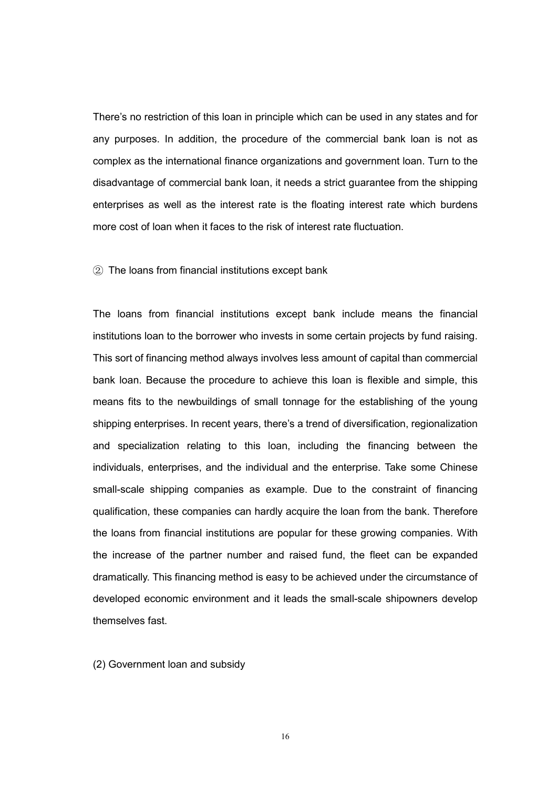There's no restriction of this loan in principle which can be used in any states and for any purposes. In addition, the procedure of the commercial bank loan is not as complex as the international finance organizations and government loan. Turn to the disadvantage of commercial bank loan, it needs a strict guarantee from the shipping enterprises as well as the interest rate is the floating interest rate which burdens more cost of loan when it faces to the risk of interest rate fluctuation.

#### ② The loans from financial institutions except bank

The loans from financial institutions except bank include means the financial institutions loan to the borrower who invests in some certain projects by fund raising. This sort of financing method always involves less amount of capital than commercial bank loan. Because the procedure to achieve this loan is flexible and simple, this means fits to the newbuildings of small tonnage for the establishing of the young shipping enterprises. In recent years, there's a trend of diversification, regionalization and specialization relating to this loan, including the financing between the individuals, enterprises, and the individual and the enterprise. Take some Chinese small-scale shipping companies as example. Due to the constraint of financing qualification, these companies can hardly acquire the loan from the bank. Therefore the loans from financial institutions are popular for these growing companies. With the increase of the partner number and raised fund, the fleet can be expanded dramatically. This financing method is easy to be achieved under the circumstance of developed economic environment and it leads the small-scale shipowners develop themselves fast.

(2) Government loan and subsidy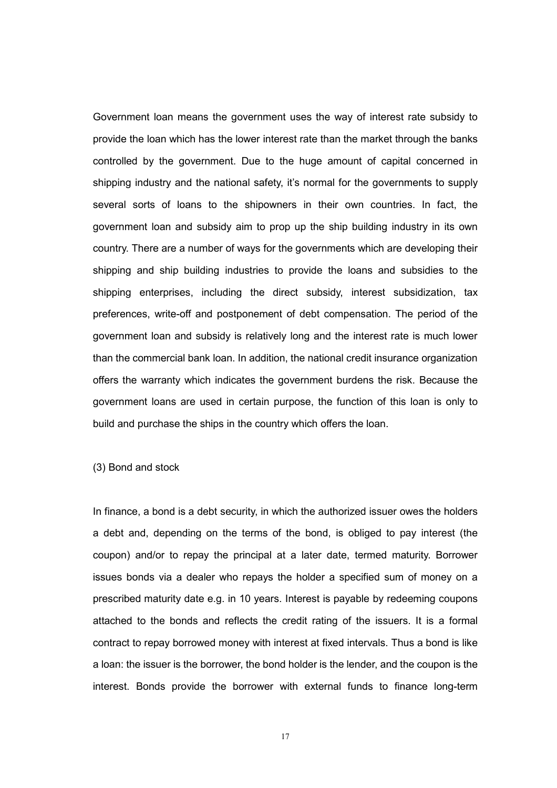Government loan means the government uses the way of interest rate subsidy to provide the loan which has the lower interest rate than the market through the banks controlled by the government. Due to the huge amount of capital concerned in shipping industry and the national safety, it's normal for the governments to supply several sorts of loans to the shipowners in their own countries. In fact, the government loan and subsidy aim to prop up the ship building industry in its own country. There are a number of ways for the governments which are developing their shipping and ship building industries to provide the loans and subsidies to the shipping enterprises, including the direct subsidy, interest subsidization, tax preferences, write-off and postponement of debt compensation. The period of the government loan and subsidy is relatively long and the interest rate is much lower than the commercial bank loan. In addition, the national credit insurance organization offers the warranty which indicates the government burdens the risk. Because the government loans are used in certain purpose, the function of this loan is only to build and purchase the ships in the country which offers the loan.

(3) Bond and stock

In finance, a bond is a debt security, in which the authorized issuer owes the holders a debt and, depending on the terms of the bond, is obliged to pay interest (the coupon) and/or to repay the principal at a later date, termed maturity. Borrower issues bonds via a dealer who repays the holder a specified sum of money on a prescribed maturity date e.g. in 10 years. Interest is payable by redeeming coupons attached to the bonds and reflects the credit rating of the issuers. It is a formal contract to repay borrowed money with interest at fixed intervals. Thus a bond is like a loan: the issuer is the borrower, the bond holder is the lender, and the coupon is the interest. Bonds provide the borrower with external funds to finance long-term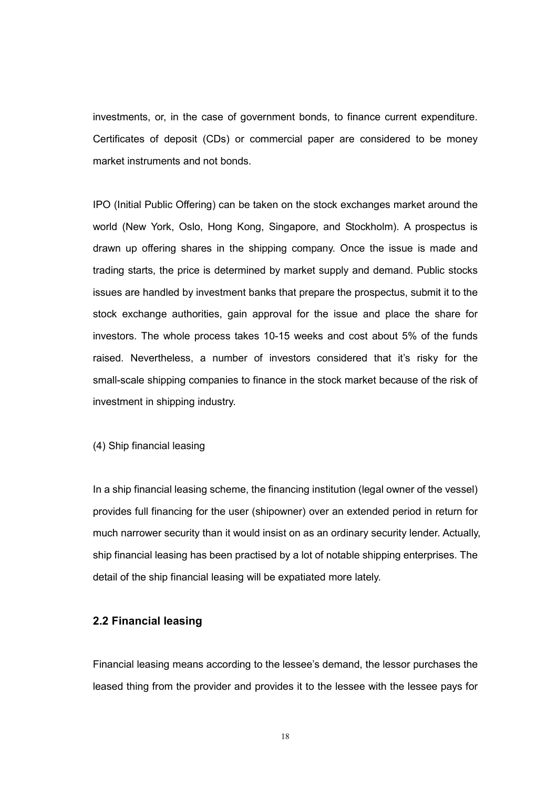investments, or, in the case of government bonds, to finance current expenditure. Certificates of deposit (CDs) or commercial paper are considered to be money market instruments and not bonds.

IPO (Initial Public Offering) can be taken on the stock exchanges market around the world (New York, Oslo, Hong Kong, Singapore, and Stockholm). A prospectus is drawn up offering shares in the shipping company. Once the issue is made and trading starts, the price is determined by market supply and demand. Public stocks issues are handled by investment banks that prepare the prospectus, submit it to the stock exchange authorities, gain approval for the issue and place the share for investors. The whole process takes 10-15 weeks and cost about 5% of the funds raised. Nevertheless, a number of investors considered that it's risky for the small-scale shipping companies to finance in the stock market because of the risk of investment in shipping industry.

(4) Ship financial leasing

In a ship financial leasing scheme, the financing institution (legal owner of the vessel) provides full financing for the user (shipowner) over an extended period in return for much narrower security than it would insist on as an ordinary security lender. Actually, ship financial leasing has been practised by a lot of notable shipping enterprises. The detail of the ship financial leasing will be expatiated more lately.

#### 2.2 Financial leasing

Financial leasing means according to the lessee's demand, the lessor purchases the leased thing from the provider and provides it to the lessee with the lessee pays for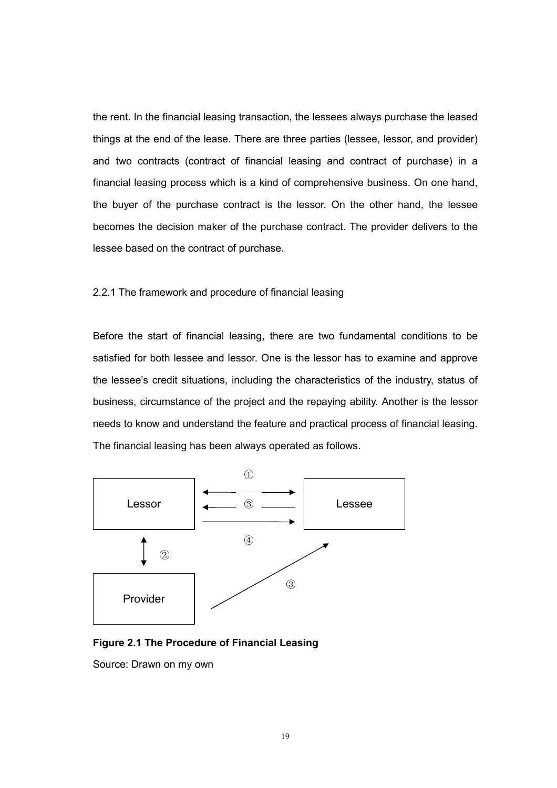the rent. In the financial leasing transaction, the lessees always purchase the leased things at the end of the lease. There are three parties (lessee, lessor, and provider) and two contracts (contract of financial leasing and contract of purchase) in a financial leasing process which is a kind of comprehensive business. On one hand, the buyer of the purchase contract is the lessor. On the other hand, the lessee becomes the decision maker of the purchase contract. The provider delivers to the lessee based on the contract of purchase.

#### 2.2.1 The framework and procedure of financial leasing

Before the start of financial leasing, there are two fundamental conditions to be satisfied for both lessee and lessor. One is the lessor has to examine and approve the lessee's credit situations, including the characteristics of the industry, status of business, circumstance of the project and the repaying ability. Another is the lessor needs to know and understand the feature and practical process of financial leasing. The financial leasing has been always operated as follows.



#### Figure 2.1 The Procedure of Financial Leasing

Source: Drawn on my own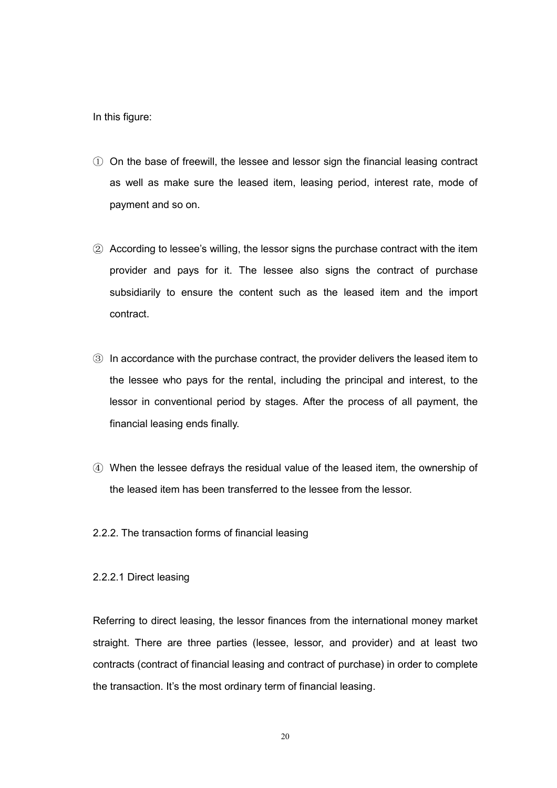In this figure:

- ① On the base of freewill, the lessee and lessor sign the financial leasing contract as well as make sure the leased item, leasing period, interest rate, mode of payment and so on.
- ② According to lessee's willing, the lessor signs the purchase contract with the item provider and pays for it. The lessee also signs the contract of purchase subsidiarily to ensure the content such as the leased item and the import contract.
- ③ In accordance with the purchase contract, the provider delivers the leased item to the lessee who pays for the rental, including the principal and interest, to the lessor in conventional period by stages. After the process of all payment, the financial leasing ends finally.
- ④ When the lessee defrays the residual value of the leased item, the ownership of the leased item has been transferred to the lessee from the lessor.
- 2.2.2. The transaction forms of financial leasing
- 2.2.2.1 Direct leasing

Referring to direct leasing, the lessor finances from the international money market straight. There are three parties (lessee, lessor, and provider) and at least two contracts (contract of financial leasing and contract of purchase) in order to complete the transaction. It's the most ordinary term of financial leasing.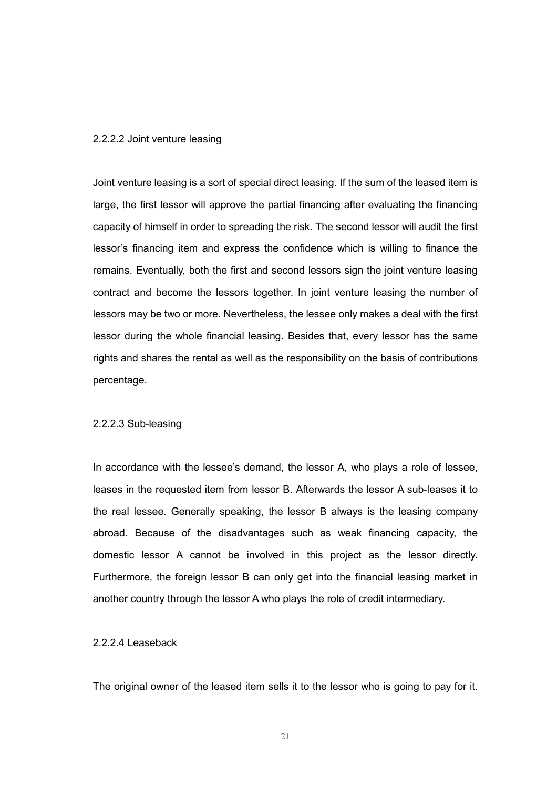#### 2.2.2.2 Joint venture leasing

Joint venture leasing is a sort of special direct leasing. If the sum of the leased item is large, the first lessor will approve the partial financing after evaluating the financing capacity of himself in order to spreading the risk. The second lessor will audit the first lessor's financing item and express the confidence which is willing to finance the remains. Eventually, both the first and second lessors sign the joint venture leasing contract and become the lessors together. In joint venture leasing the number of lessors may be two or more. Nevertheless, the lessee only makes a deal with the first lessor during the whole financial leasing. Besides that, every lessor has the same rights and shares the rental as well as the responsibility on the basis of contributions percentage.

#### 2.2.2.3 Sub-leasing

In accordance with the lessee's demand, the lessor A, who plays a role of lessee, leases in the requested item from lessor B. Afterwards the lessor A sub-leases it to the real lessee. Generally speaking, the lessor B always is the leasing company abroad. Because of the disadvantages such as weak financing capacity, the domestic lessor A cannot be involved in this project as the lessor directly. Furthermore, the foreign lessor B can only get into the financial leasing market in another country through the lessor A who plays the role of credit intermediary.

#### 2.2.2.4 Leaseback

The original owner of the leased item sells it to the lessor who is going to pay for it.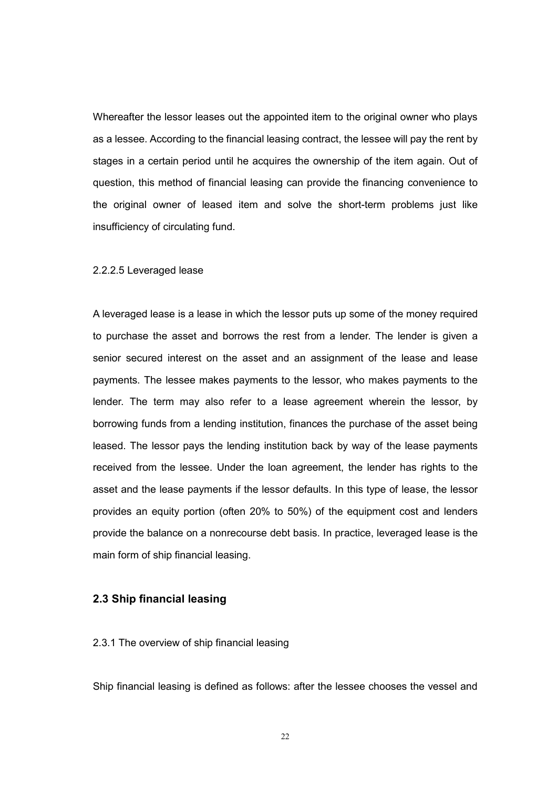Whereafter the lessor leases out the appointed item to the original owner who plays as a lessee. According to the financial leasing contract, the lessee will pay the rent by stages in a certain period until he acquires the ownership of the item again. Out of question, this method of financial leasing can provide the financing convenience to the original owner of leased item and solve the short-term problems just like insufficiency of circulating fund.

#### 2.2.2.5 Leveraged lease

A leveraged lease is a lease in which the lessor puts up some of the money required to purchase the asset and borrows the rest from a lender. The lender is given a senior secured interest on the asset and an assignment of the lease and lease payments. The lessee makes payments to the lessor, who makes payments to the lender. The term may also refer to a lease agreement wherein the lessor, by borrowing funds from a lending institution, finances the purchase of the asset being leased. The lessor pays the lending institution back by way of the lease payments received from the lessee. Under the loan agreement, the lender has rights to the asset and the lease payments if the lessor defaults. In this type of lease, the lessor provides an equity portion (often 20% to 50%) of the equipment cost and lenders provide the balance on a nonrecourse debt basis. In practice, leveraged lease is the main form of ship financial leasing.

#### 2.3 Ship financial leasing

#### 2.3.1 The overview of ship financial leasing

Ship financial leasing is defined as follows: after the lessee chooses the vessel and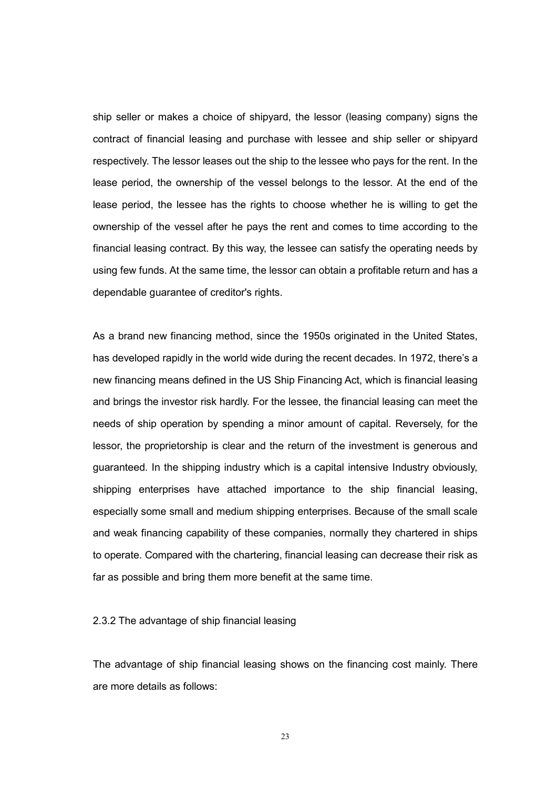ship seller or makes a choice of shipyard, the lessor (leasing company) signs the contract of financial leasing and purchase with lessee and ship seller or shipyard respectively. The lessor leases out the ship to the lessee who pays for the rent. In the lease period, the ownership of the vessel belongs to the lessor. At the end of the lease period, the lessee has the rights to choose whether he is willing to get the ownership of the vessel after he pays the rent and comes to time according to the financial leasing contract. By this way, the lessee can satisfy the operating needs by using few funds. At the same time, the lessor can obtain a profitable return and has a dependable guarantee of creditor's rights.

As a brand new financing method, since the 1950s originated in the United States, has developed rapidly in the world wide during the recent decades. In 1972, there's a new financing means defined in the US Ship Financing Act, which is financial leasing and brings the investor risk hardly. For the lessee, the financial leasing can meet the needs of ship operation by spending a minor amount of capital. Reversely, for the lessor, the proprietorship is clear and the return of the investment is generous and guaranteed. In the shipping industry which is a capital intensive Industry obviously, shipping enterprises have attached importance to the ship financial leasing, especially some small and medium shipping enterprises. Because of the small scale and weak financing capability of these companies, normally they chartered in ships to operate. Compared with the chartering, financial leasing can decrease their risk as far as possible and bring them more benefit at the same time.

#### 2.3.2 The advantage of ship financial leasing

The advantage of ship financial leasing shows on the financing cost mainly. There are more details as follows: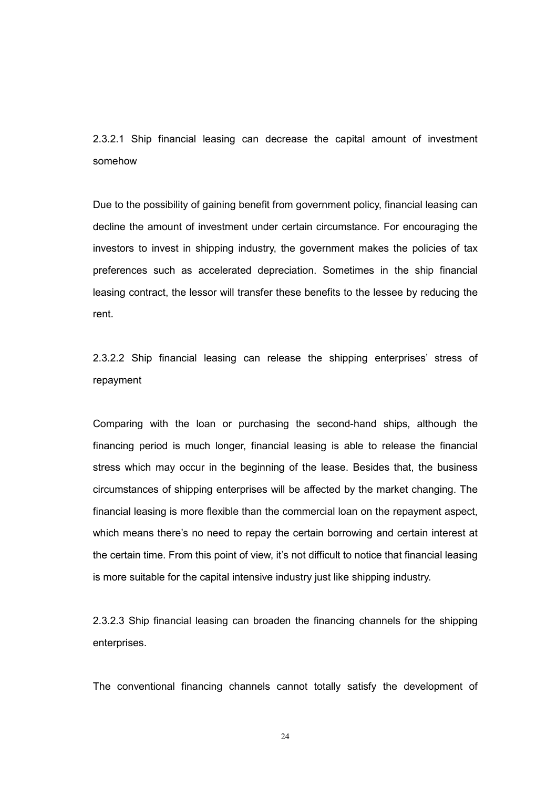2.3.2.1 Ship financial leasing can decrease the capital amount of investment somehow

Due to the possibility of gaining benefit from government policy, financial leasing can decline the amount of investment under certain circumstance. For encouraging the investors to invest in shipping industry, the government makes the policies of tax preferences such as accelerated depreciation. Sometimes in the ship financial leasing contract, the lessor will transfer these benefits to the lessee by reducing the rent.

2.3.2.2 Ship financial leasing can release the shipping enterprises' stress of repayment

Comparing with the loan or purchasing the second-hand ships, although the financing period is much longer, financial leasing is able to release the financial stress which may occur in the beginning of the lease. Besides that, the business circumstances of shipping enterprises will be affected by the market changing. The financial leasing is more flexible than the commercial loan on the repayment aspect, which means there's no need to repay the certain borrowing and certain interest at the certain time. From this point of view, it's not difficult to notice that financial leasing is more suitable for the capital intensive industry just like shipping industry.

2.3.2.3 Ship financial leasing can broaden the financing channels for the shipping enterprises.

The conventional financing channels cannot totally satisfy the development of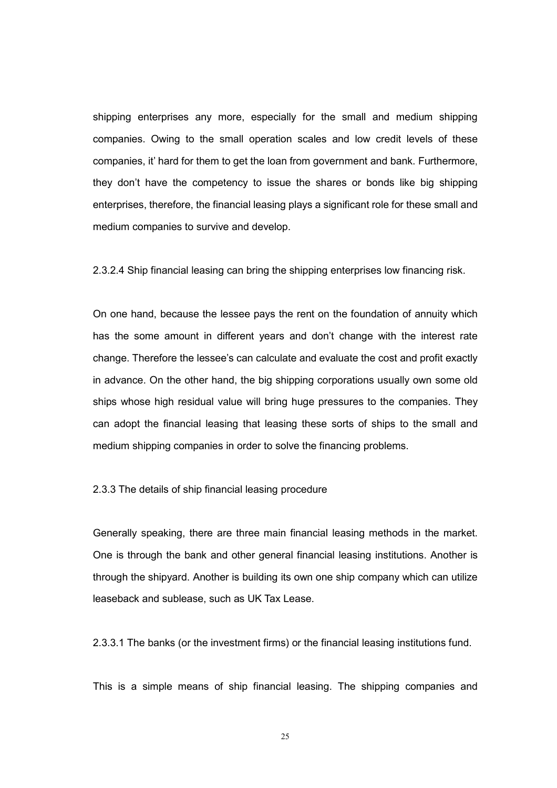shipping enterprises any more, especially for the small and medium shipping companies. Owing to the small operation scales and low credit levels of these companies, it' hard for them to get the loan from government and bank. Furthermore, they don't have the competency to issue the shares or bonds like big shipping enterprises, therefore, the financial leasing plays a significant role for these small and medium companies to survive and develop.

2.3.2.4 Ship financial leasing can bring the shipping enterprises low financing risk.

On one hand, because the lessee pays the rent on the foundation of annuity which has the some amount in different years and don't change with the interest rate change. Therefore the lessee's can calculate and evaluate the cost and profit exactly in advance. On the other hand, the big shipping corporations usually own some old ships whose high residual value will bring huge pressures to the companies. They can adopt the financial leasing that leasing these sorts of ships to the small and medium shipping companies in order to solve the financing problems.

2.3.3 The details of ship financial leasing procedure

Generally speaking, there are three main financial leasing methods in the market. One is through the bank and other general financial leasing institutions. Another is through the shipyard. Another is building its own one ship company which can utilize leaseback and sublease, such as UK Tax Lease.

2.3.3.1 The banks (or the investment firms) or the financial leasing institutions fund.

This is a simple means of ship financial leasing. The shipping companies and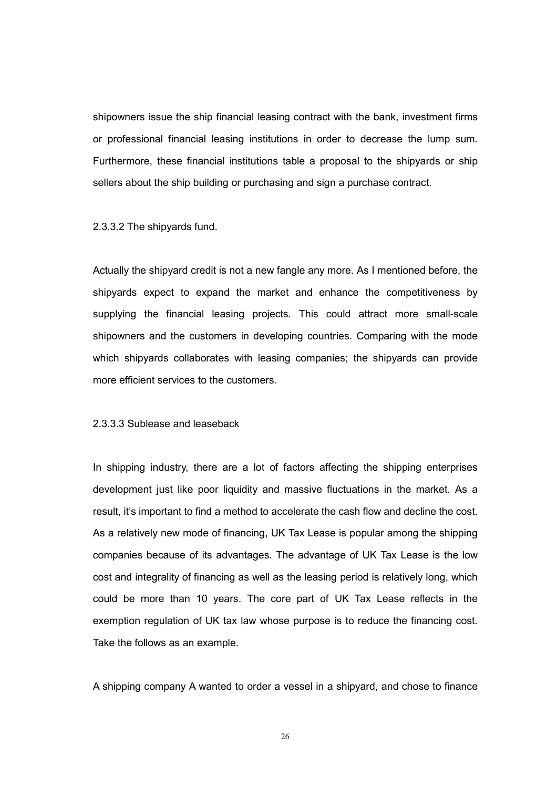shipowners issue the ship financial leasing contract with the bank, investment firms or professional financial leasing institutions in order to decrease the lump sum. Furthermore, these financial institutions table a proposal to the shipyards or ship sellers about the ship building or purchasing and sign a purchase contract.

2.3.3.2 The shipyards fund.

Actually the shipyard credit is not a new fangle any more. As I mentioned before, the shipyards expect to expand the market and enhance the competitiveness by supplying the financial leasing projects. This could attract more small-scale shipowners and the customers in developing countries. Comparing with the mode which shipyards collaborates with leasing companies; the shipyards can provide more efficient services to the customers.

2.3.3.3 Sublease and leaseback

In shipping industry, there are a lot of factors affecting the shipping enterprises development just like poor liquidity and massive fluctuations in the market. As a result, it's important to find a method to accelerate the cash flow and decline the cost. As a relatively new mode of financing, UK Tax Lease is popular among the shipping companies because of its advantages. The advantage of UK Tax Lease is the low cost and integrality of financing as well as the leasing period is relatively long, which could be more than 10 years. The core part of UK Tax Lease reflects in the exemption regulation of UK tax law whose purpose is to reduce the financing cost. Take the follows as an example.

A shipping company A wanted to order a vessel in a shipyard, and chose to finance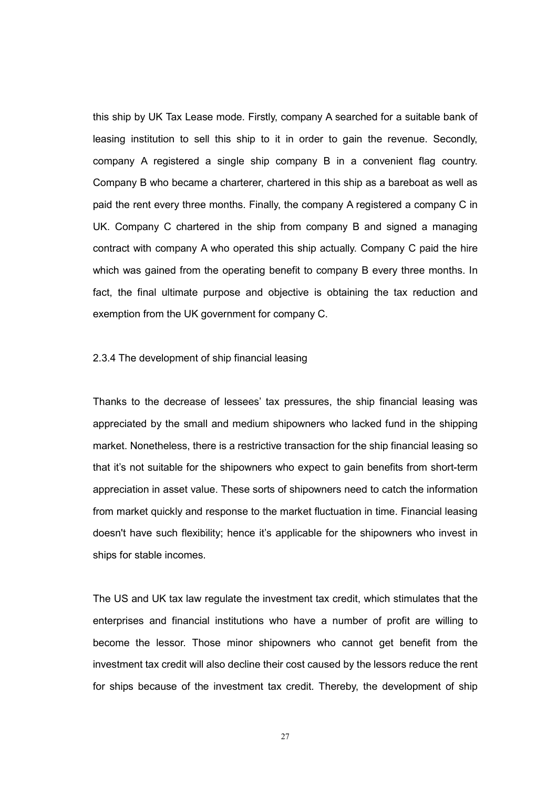this ship by UK Tax Lease mode. Firstly, company A searched for a suitable bank of leasing institution to sell this ship to it in order to gain the revenue. Secondly, company A registered a single ship company B in a convenient flag country. Company B who became a charterer, chartered in this ship as a bareboat as well as paid the rent every three months. Finally, the company A registered a company C in UK. Company C chartered in the ship from company B and signed a managing contract with company A who operated this ship actually. Company C paid the hire which was gained from the operating benefit to company B every three months. In fact, the final ultimate purpose and objective is obtaining the tax reduction and exemption from the UK government for company C.

2.3.4 The development of ship financial leasing

Thanks to the decrease of lessees' tax pressures, the ship financial leasing was appreciated by the small and medium shipowners who lacked fund in the shipping market. Nonetheless, there is a restrictive transaction for the ship financial leasing so that it's not suitable for the shipowners who expect to gain benefits from short-term appreciation in asset value. These sorts of shipowners need to catch the information from market quickly and response to the market fluctuation in time. Financial leasing doesn't have such flexibility; hence it's applicable for the shipowners who invest in ships for stable incomes.

The US and UK tax law regulate the investment tax credit, which stimulates that the enterprises and financial institutions who have a number of profit are willing to become the lessor. Those minor shipowners who cannot get benefit from the investment tax credit will also decline their cost caused by the lessors reduce the rent for ships because of the investment tax credit. Thereby, the development of ship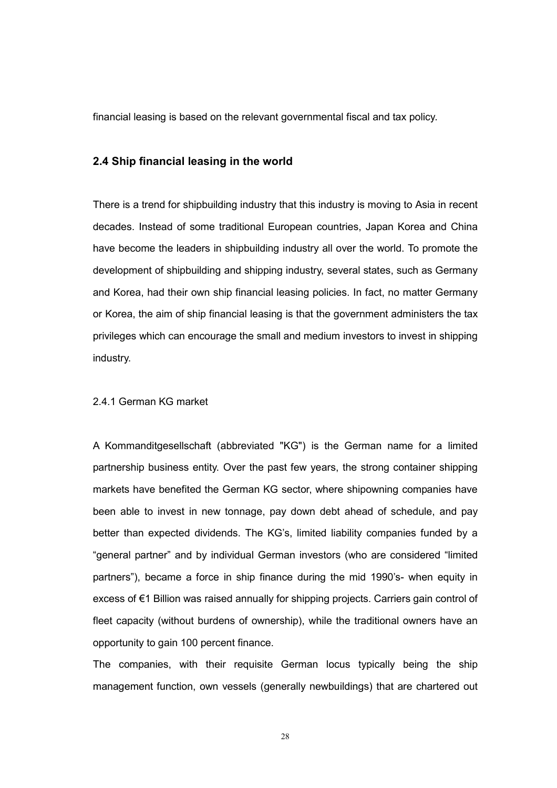financial leasing is based on the relevant governmental fiscal and tax policy.

#### 2.4 Ship financial leasing in the world

There is a trend for shipbuilding industry that this industry is moving to Asia in recent decades. Instead of some traditional European countries, Japan Korea and China have become the leaders in shipbuilding industry all over the world. To promote the development of shipbuilding and shipping industry, several states, such as Germany and Korea, had their own ship financial leasing policies. In fact, no matter Germany or Korea, the aim of ship financial leasing is that the government administers the tax privileges which can encourage the small and medium investors to invest in shipping industry.

#### 2.4.1 German KG market

A Kommanditgesellschaft (abbreviated "KG") is the German name for a limited partnership business entity. Over the past few years, the strong container shipping markets have benefited the German KG sector, where shipowning companies have been able to invest in new tonnage, pay down debt ahead of schedule, and pay better than expected dividends. The KG's, limited liability companies funded by a "general partner" and by individual German investors (who are considered "limited partners"), became a force in ship finance during the mid 1990's- when equity in excess of €1 Billion was raised annually for shipping projects. Carriers gain control of fleet capacity (without burdens of ownership), while the traditional owners have an opportunity to gain 100 percent finance.

The companies, with their requisite German locus typically being the ship management function, own vessels (generally newbuildings) that are chartered out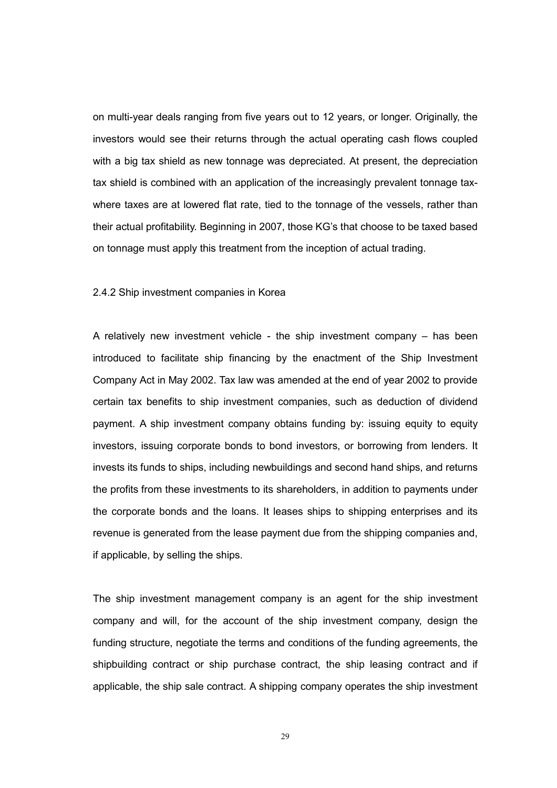on multi-year deals ranging from five years out to 12 years, or longer. Originally, the investors would see their returns through the actual operating cash flows coupled with a big tax shield as new tonnage was depreciated. At present, the depreciation tax shield is combined with an application of the increasingly prevalent tonnage taxwhere taxes are at lowered flat rate, tied to the tonnage of the vessels, rather than their actual profitability. Beginning in 2007, those KG's that choose to be taxed based on tonnage must apply this treatment from the inception of actual trading.

#### 2.4.2 Ship investment companies in Korea

A relatively new investment vehicle - the ship investment company – has been introduced to facilitate ship financing by the enactment of the Ship Investment Company Act in May 2002. Tax law was amended at the end of year 2002 to provide certain tax benefits to ship investment companies, such as deduction of dividend payment. A ship investment company obtains funding by: issuing equity to equity investors, issuing corporate bonds to bond investors, or borrowing from lenders. It invests its funds to ships, including newbuildings and second hand ships, and returns the profits from these investments to its shareholders, in addition to payments under the corporate bonds and the loans. It leases ships to shipping enterprises and its revenue is generated from the lease payment due from the shipping companies and, if applicable, by selling the ships.

The ship investment management company is an agent for the ship investment company and will, for the account of the ship investment company, design the funding structure, negotiate the terms and conditions of the funding agreements, the shipbuilding contract or ship purchase contract, the ship leasing contract and if applicable, the ship sale contract. A shipping company operates the ship investment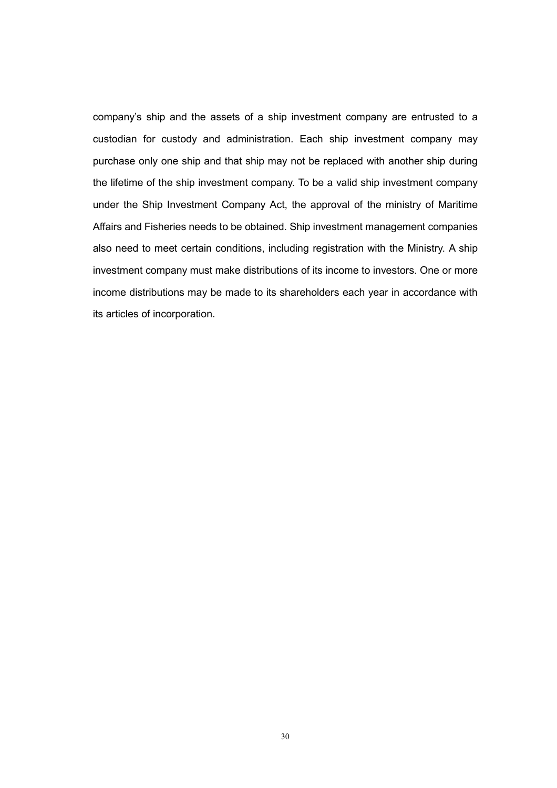company's ship and the assets of a ship investment company are entrusted to a custodian for custody and administration. Each ship investment company may purchase only one ship and that ship may not be replaced with another ship during the lifetime of the ship investment company. To be a valid ship investment company under the Ship Investment Company Act, the approval of the ministry of Maritime Affairs and Fisheries needs to be obtained. Ship investment management companies also need to meet certain conditions, including registration with the Ministry. A ship investment company must make distributions of its income to investors. One or more income distributions may be made to its shareholders each year in accordance with its articles of incorporation.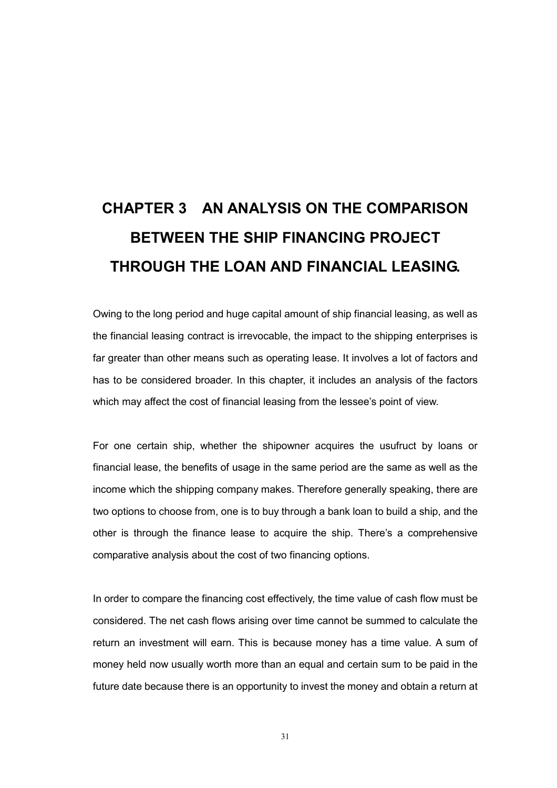# CHAPTER 3 AN ANALYSIS ON THE COMPARISON BETWEEN THE SHIP FINANCING PROJECT THROUGH THE LOAN AND FINANCIAL LEASING.

Owing to the long period and huge capital amount of ship financial leasing, as well as the financial leasing contract is irrevocable, the impact to the shipping enterprises is far greater than other means such as operating lease. It involves a lot of factors and has to be considered broader. In this chapter, it includes an analysis of the factors which may affect the cost of financial leasing from the lessee's point of view.

For one certain ship, whether the shipowner acquires the usufruct by loans or financial lease, the benefits of usage in the same period are the same as well as the income which the shipping company makes. Therefore generally speaking, there are two options to choose from, one is to buy through a bank loan to build a ship, and the other is through the finance lease to acquire the ship. There's a comprehensive comparative analysis about the cost of two financing options.

In order to compare the financing cost effectively, the time value of cash flow must be considered. The net cash flows arising over time cannot be summed to calculate the return an investment will earn. This is because money has a time value. A sum of money held now usually worth more than an equal and certain sum to be paid in the future date because there is an opportunity to invest the money and obtain a return at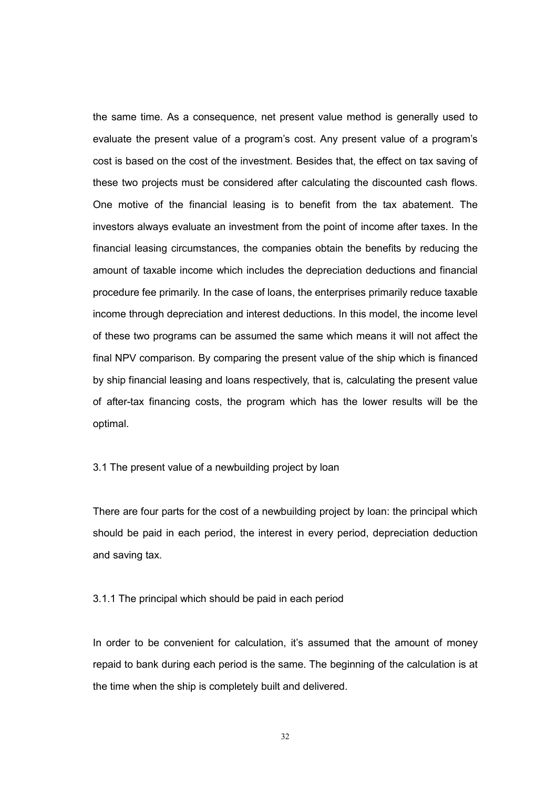the same time. As a consequence, net present value method is generally used to evaluate the present value of a program's cost. Any present value of a program's cost is based on the cost of the investment. Besides that, the effect on tax saving of these two projects must be considered after calculating the discounted cash flows. One motive of the financial leasing is to benefit from the tax abatement. The investors always evaluate an investment from the point of income after taxes. In the financial leasing circumstances, the companies obtain the benefits by reducing the amount of taxable income which includes the depreciation deductions and financial procedure fee primarily. In the case of loans, the enterprises primarily reduce taxable income through depreciation and interest deductions. In this model, the income level of these two programs can be assumed the same which means it will not affect the final NPV comparison. By comparing the present value of the ship which is financed by ship financial leasing and loans respectively, that is, calculating the present value of after-tax financing costs, the program which has the lower results will be the optimal.

#### 3.1 The present value of a newbuilding project by loan

There are four parts for the cost of a newbuilding project by loan: the principal which should be paid in each period, the interest in every period, depreciation deduction and saving tax.

#### 3.1.1 The principal which should be paid in each period

In order to be convenient for calculation, it's assumed that the amount of money repaid to bank during each period is the same. The beginning of the calculation is at the time when the ship is completely built and delivered.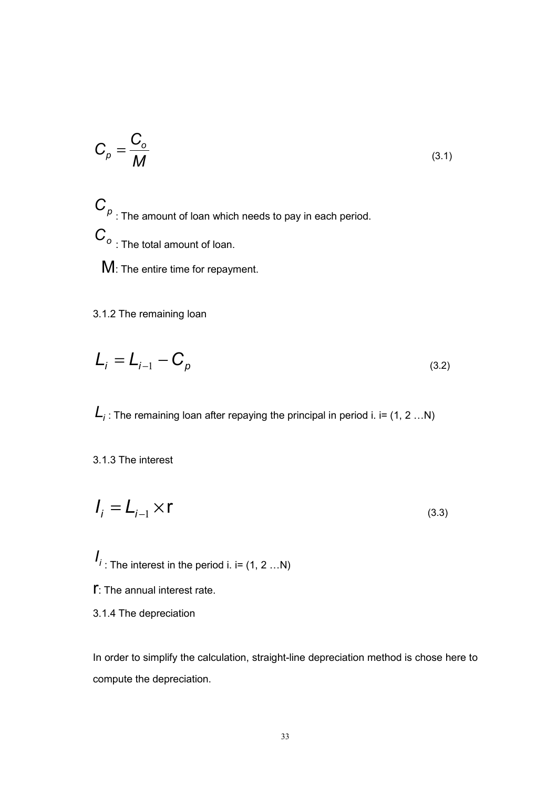$$
C_{\rho} = \frac{C_o}{M}
$$
 (3.1)

 $C_p$  : The amount of loan which needs to pay in each period.  $C_{\circ}$  : The total amount of loan.

M: The entire time for repayment.

3.1.2 The remaining loan

$$
L_i = L_{i-1} - C_p \tag{3.2}
$$

 $\boldsymbol{L}_i$  : The remaining loan after repaying the principal in period i. i= (1, 2 …N)

3.1.3 The interest

$$
I_i = L_{i-1} \times r \tag{3.3}
$$

 $I_{i}$ : The interest in the period i. i= (1, 2 ...N)

- $\Gamma$ : The annual interest rate.
- 3.1.4 The depreciation

In order to simplify the calculation, straight-line depreciation method is chose here to compute the depreciation.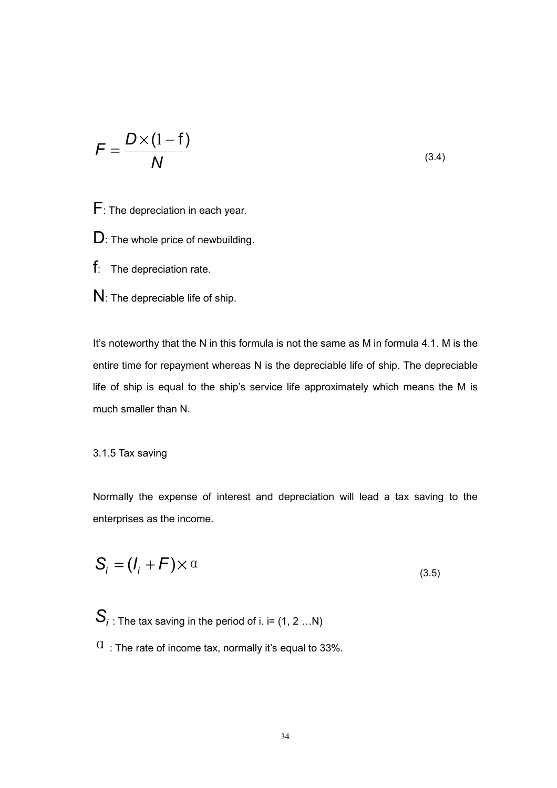$$
F = \frac{D \times (1 - f)}{N}
$$
 (3.4)

- F: The depreciation in each year.
- D: The whole price of newbuilding.
- f: The depreciation rate.
- N: The depreciable life of ship.

It's noteworthy that the N in this formula is not the same as M in formula 4.1. M is the entire time for repayment whereas N is the depreciable life of ship. The depreciable life of ship is equal to the ship's service life approximately which means the M is much smaller than N.

3.1.5 Tax saving

Normally the expense of interest and depreciation will lead a tax saving to the enterprises as the income.

$$
S_i = (I_i + F) \times \alpha \tag{3.5}
$$

$$
S_i
$$
: The tax saving in the period of i. i= (1, 2 ... N)  
 $\alpha$ : The rate of income tax, normally it's equal to 33%.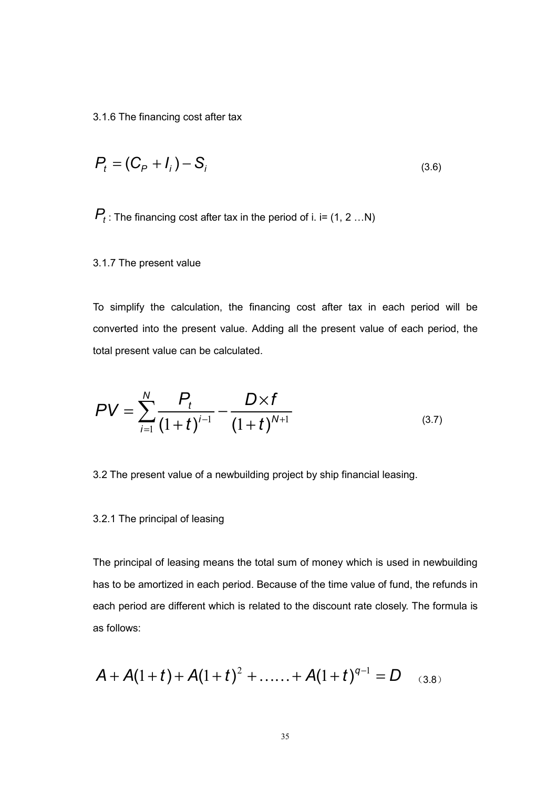3.1.6 The financing cost after tax

$$
P_t = (C_P + I_i) - S_i \tag{3.6}
$$

 $P_t$  : The financing cost after tax in the period of i. i= (1, 2 ...N)

3.1.7 The present value

To simplify the calculation, the financing cost after tax in each period will be converted into the present value. Adding all the present value of each period, the total present value can be calculated.

$$
PV = \sum_{i=1}^{N} \frac{P_t}{(1+t)^{i-1}} - \frac{D \times f}{(1+t)^{N+1}}
$$
\n(3.7)

3.2 The present value of a newbuilding project by ship financial leasing.

#### 3.2.1 The principal of leasing

The principal of leasing means the total sum of money which is used in newbuilding has to be amortized in each period. Because of the time value of fund, the refunds in each period are different which is related to the discount rate closely. The formula is as follows:

$$
A + A(1+t) + A(1+t)^{2} + \ldots + A(1+t)^{q-1} = D
$$
 (3.8)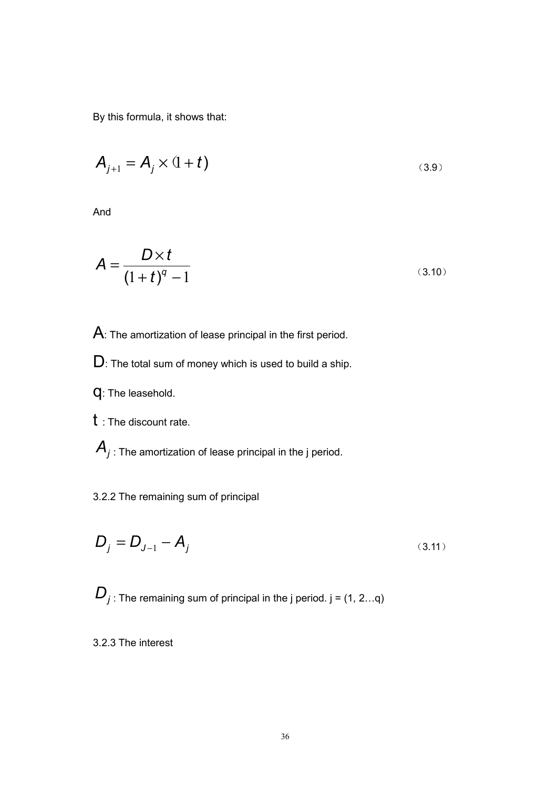By this formula, it shows that:

$$
A_{j+1} = A_j \times (1+t)
$$
 (3.9)

And

$$
A = \frac{D \times t}{\left(1 + t\right)^{q} - 1}
$$
\n(3.10)

A: The amortization of lease principal in the first period.

D: The total sum of money which is used to build a ship.

- q: The leasehold.
- t : The discount rate.

 $\mathcal{A}_j$  : The amortization of lease principal in the j period.

### 3.2.2 The remaining sum of principal

$$
D_j = D_{J-1} - A_j \tag{3.11}
$$

 $D_j$ : The remaining sum of principal in the j period. j = (1, 2...q)

3.2.3 The interest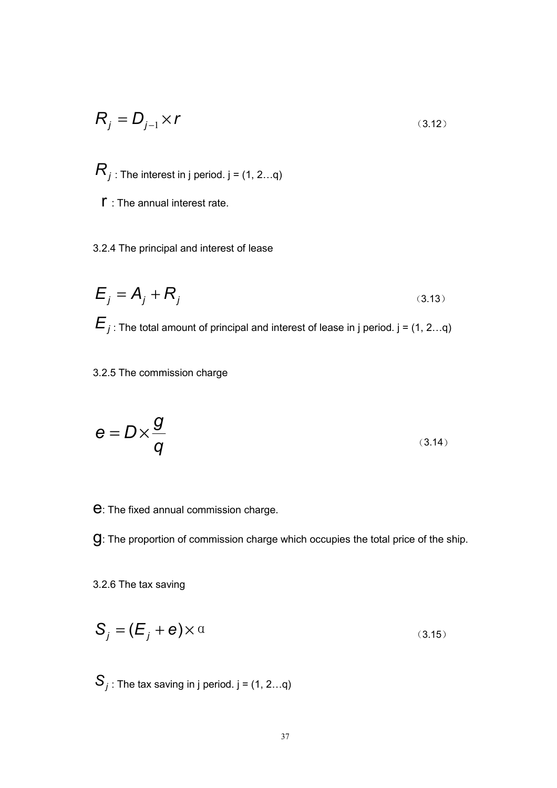$$
R_j = D_{j-1} \times r \tag{3.12}
$$

 $R_j$  : The interest in j period. j = (1, 2...q)

- $\Gamma$  : The annual interest rate.
- 3.2.4 The principal and interest of lease

$$
E_j = A_j + R_j
$$
\n(3.13)\n
$$
E_j
$$
: The total amount of principal and interest of lease in j period. j = (1, 2...q)

### 3.2.5 The commission charge

$$
e = D \times \frac{g}{q}
$$
 (3.14)

e: The fixed annual commission charge.

g: The proportion of commission charge which occupies the total price of the ship.

3.2.6 The tax saving

$$
S_j = (E_j + e) \times \alpha \tag{3.15}
$$

 $\mathcal{S}_j$  : The tax saving in j period. j = (1, 2...q)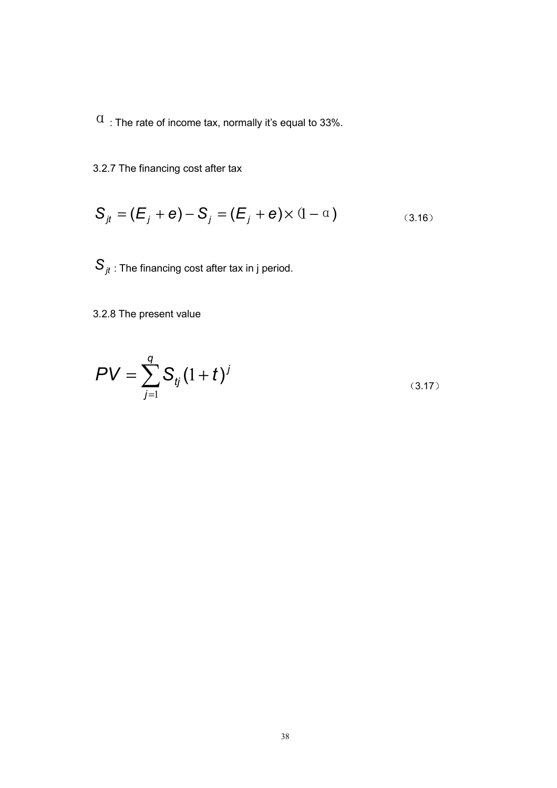$\alpha$ : The rate of income tax, normally it's equal to 33%.

3.2.7 The financing cost after tax

$$
S_{jt} = (E_j + e) - S_j = (E_j + e) \times (1 - \alpha)
$$
\n(3.16)

 $S_{jt}$  : The financing cost after tax in j period.

3.2.8 The present value

$$
PV = \sum_{j=1}^{q} S_{ij} (1+t)^j
$$
 (3.17)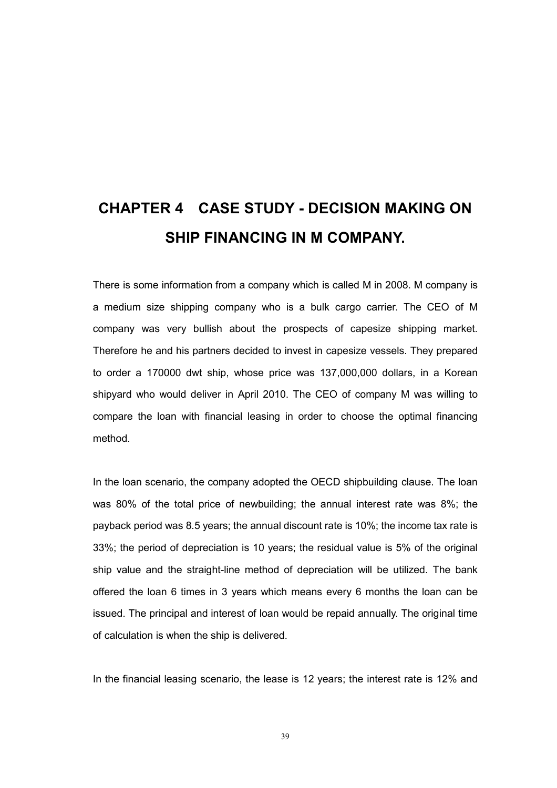## CHAPTER 4 CASE STUDY - DECISION MAKING ON SHIP FINANCING IN M COMPANY.

There is some information from a company which is called M in 2008. M company is a medium size shipping company who is a bulk cargo carrier. The CEO of M company was very bullish about the prospects of capesize shipping market. Therefore he and his partners decided to invest in capesize vessels. They prepared to order a 170000 dwt ship, whose price was 137,000,000 dollars, in a Korean shipyard who would deliver in April 2010. The CEO of company M was willing to compare the loan with financial leasing in order to choose the optimal financing method.

In the loan scenario, the company adopted the OECD shipbuilding clause. The loan was 80% of the total price of newbuilding; the annual interest rate was 8%; the payback period was 8.5 years; the annual discount rate is 10%; the income tax rate is 33%; the period of depreciation is 10 years; the residual value is 5% of the original ship value and the straight-line method of depreciation will be utilized. The bank offered the loan 6 times in 3 years which means every 6 months the loan can be issued. The principal and interest of loan would be repaid annually. The original time of calculation is when the ship is delivered.

In the financial leasing scenario, the lease is 12 years; the interest rate is 12% and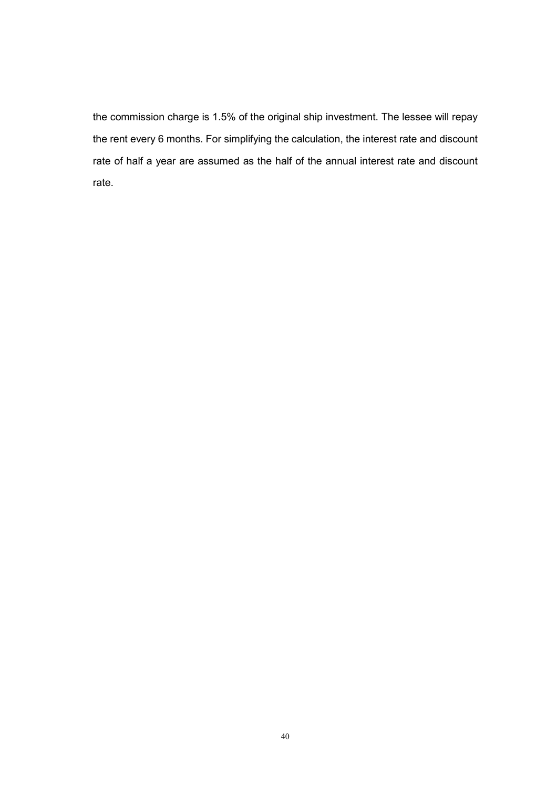the commission charge is 1.5% of the original ship investment. The lessee will repay the rent every 6 months. For simplifying the calculation, the interest rate and discount rate of half a year are assumed as the half of the annual interest rate and discount rate.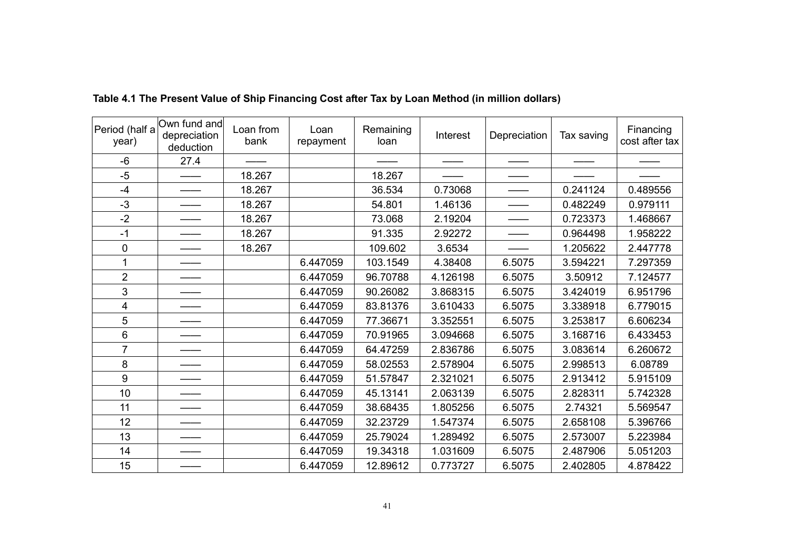| Period (half a<br>year) | Own fund and<br>depreciation<br>deduction | Loan from<br>bank | Loan<br>repayment | Remaining<br>loan | Interest | Depreciation | Tax saving | Financing<br>cost after tax |
|-------------------------|-------------------------------------------|-------------------|-------------------|-------------------|----------|--------------|------------|-----------------------------|
| -6                      | 27.4                                      |                   |                   |                   |          |              |            |                             |
| $-5$                    |                                           | 18.267            |                   | 18.267            |          |              |            |                             |
| $-4$                    |                                           | 18.267            |                   | 36.534            | 0.73068  |              | 0.241124   | 0.489556                    |
| $-3$                    |                                           | 18.267            |                   | 54.801            | 1.46136  |              | 0.482249   | 0.979111                    |
| $-2$                    |                                           | 18.267            |                   | 73.068            | 2.19204  |              | 0.723373   | 1.468667                    |
| $-1$                    |                                           | 18.267            |                   | 91.335            | 2.92272  |              | 0.964498   | 1.958222                    |
| 0                       |                                           | 18.267            |                   | 109.602           | 3.6534   |              | 1.205622   | 2.447778                    |
| 1                       |                                           |                   | 6.447059          | 103.1549          | 4.38408  | 6.5075       | 3.594221   | 7.297359                    |
| $\overline{2}$          |                                           |                   | 6.447059          | 96.70788          | 4.126198 | 6.5075       | 3.50912    | 7.124577                    |
| 3                       |                                           |                   | 6.447059          | 90.26082          | 3.868315 | 6.5075       | 3.424019   | 6.951796                    |
| 4                       |                                           |                   | 6.447059          | 83.81376          | 3.610433 | 6.5075       | 3.338918   | 6.779015                    |
| 5                       |                                           |                   | 6.447059          | 77.36671          | 3.352551 | 6.5075       | 3.253817   | 6.606234                    |
| 6                       |                                           |                   | 6.447059          | 70.91965          | 3.094668 | 6.5075       | 3.168716   | 6.433453                    |
| $\overline{7}$          |                                           |                   | 6.447059          | 64.47259          | 2.836786 | 6.5075       | 3.083614   | 6.260672                    |
| 8                       |                                           |                   | 6.447059          | 58.02553          | 2.578904 | 6.5075       | 2.998513   | 6.08789                     |
| 9                       |                                           |                   | 6.447059          | 51.57847          | 2.321021 | 6.5075       | 2.913412   | 5.915109                    |
| 10                      |                                           |                   | 6.447059          | 45.13141          | 2.063139 | 6.5075       | 2.828311   | 5.742328                    |
| 11                      |                                           |                   | 6.447059          | 38.68435          | 1.805256 | 6.5075       | 2.74321    | 5.569547                    |
| 12                      |                                           |                   | 6.447059          | 32.23729          | 1.547374 | 6.5075       | 2.658108   | 5.396766                    |
| 13                      |                                           |                   | 6.447059          | 25.79024          | 1.289492 | 6.5075       | 2.573007   | 5.223984                    |
| 14                      |                                           |                   | 6.447059          | 19.34318          | 1.031609 | 6.5075       | 2.487906   | 5.051203                    |
| 15                      |                                           |                   | 6.447059          | 12.89612          | 0.773727 | 6.5075       | 2.402805   | 4.878422                    |

Table 4.1 The Present Value of Ship Financing Cost after Tax by Loan Method (in million dollars)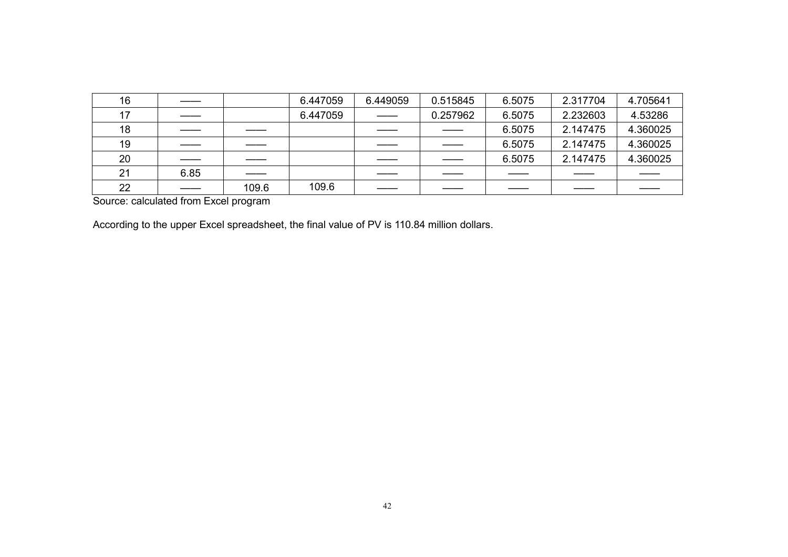| 16 |      |       | 6.447059 | 6.449059                       | 0.515845                    | 6.5075 | 2.317704 | 4.705641 |
|----|------|-------|----------|--------------------------------|-----------------------------|--------|----------|----------|
| 17 |      |       | 6.447059 | $\overbrace{\hspace{27mm}}^{}$ | 0.257962                    | 6.5075 | 2.232603 | 4.53286  |
| 18 |      |       |          |                                | $\overline{\phantom{a}}$    | 6.5075 | 2.147475 | 4.360025 |
| 19 |      |       |          |                                | $\overbrace{\hspace{27mm}}$ | 6.5075 | 2.147475 | 4.360025 |
| 20 |      |       |          |                                | $\frac{1}{2}$               | 6.5075 | 2.147475 | 4.360025 |
| 21 | 6.85 |       |          |                                |                             |        |          |          |
| 22 |      | 109.6 | 109.6    |                                |                             |        |          |          |

Source: calculated from Excel program

According to the upper Excel spreadsheet, the final value of PV is 110.84 million dollars.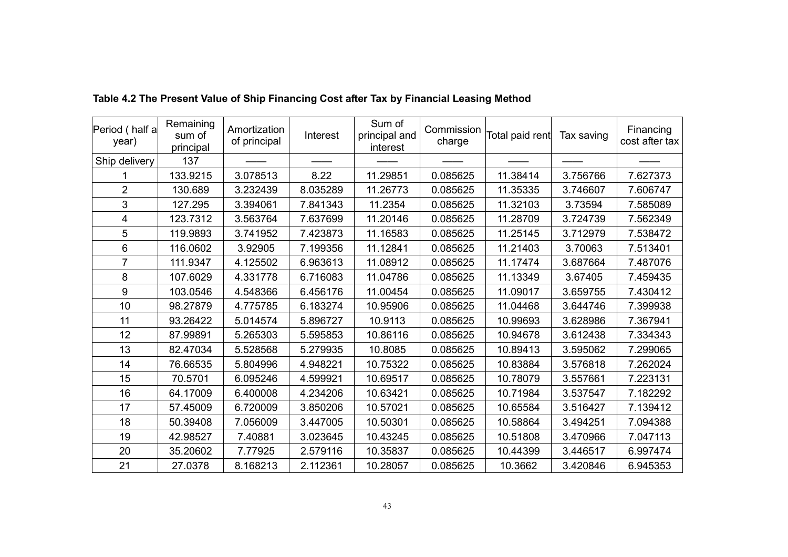| Period (half a<br>year) | Remaining<br>sum of<br>principal | Amortization<br>of principal | Interest | Sum of<br>principal and<br>interest | Commission<br>charge | Total paid rent | Tax saving | Financing<br>cost after tax |
|-------------------------|----------------------------------|------------------------------|----------|-------------------------------------|----------------------|-----------------|------------|-----------------------------|
| Ship delivery           | 137                              |                              |          |                                     |                      |                 |            |                             |
|                         | 133.9215                         | 3.078513                     | 8.22     | 11.29851                            | 0.085625             | 11.38414        | 3.756766   | 7.627373                    |
| $\overline{2}$          | 130.689                          | 3.232439                     | 8.035289 | 11.26773                            | 0.085625             | 11.35335        | 3.746607   | 7.606747                    |
| 3                       | 127.295                          | 3.394061                     | 7.841343 | 11.2354                             | 0.085625             | 11.32103        | 3.73594    | 7.585089                    |
| 4                       | 123.7312                         | 3.563764                     | 7.637699 | 11.20146                            | 0.085625             | 11.28709        | 3.724739   | 7.562349                    |
| 5                       | 119.9893                         | 3.741952                     | 7.423873 | 11.16583                            | 0.085625             | 11.25145        | 3.712979   | 7.538472                    |
| 6                       | 116.0602                         | 3.92905                      | 7.199356 | 11.12841                            | 0.085625             | 11.21403        | 3.70063    | 7.513401                    |
| $\overline{7}$          | 111.9347                         | 4.125502                     | 6.963613 | 11.08912                            | 0.085625             | 11.17474        | 3.687664   | 7.487076                    |
| 8                       | 107.6029                         | 4.331778                     | 6.716083 | 11.04786                            | 0.085625             | 11.13349        | 3.67405    | 7.459435                    |
| 9                       | 103.0546                         | 4.548366                     | 6.456176 | 11.00454                            | 0.085625             | 11.09017        | 3.659755   | 7.430412                    |
| 10                      | 98.27879                         | 4.775785                     | 6.183274 | 10.95906                            | 0.085625             | 11.04468        | 3.644746   | 7.399938                    |
| 11                      | 93.26422                         | 5.014574                     | 5.896727 | 10.9113                             | 0.085625             | 10.99693        | 3.628986   | 7.367941                    |
| 12                      | 87.99891                         | 5.265303                     | 5.595853 | 10.86116                            | 0.085625             | 10.94678        | 3.612438   | 7.334343                    |
| 13                      | 82.47034                         | 5.528568                     | 5.279935 | 10.8085                             | 0.085625             | 10.89413        | 3.595062   | 7.299065                    |
| 14                      | 76.66535                         | 5.804996                     | 4.948221 | 10.75322                            | 0.085625             | 10.83884        | 3.576818   | 7.262024                    |
| 15                      | 70.5701                          | 6.095246                     | 4.599921 | 10.69517                            | 0.085625             | 10.78079        | 3.557661   | 7.223131                    |
| 16                      | 64.17009                         | 6.400008                     | 4.234206 | 10.63421                            | 0.085625             | 10.71984        | 3.537547   | 7.182292                    |
| 17                      | 57.45009                         | 6.720009                     | 3.850206 | 10.57021                            | 0.085625             | 10.65584        | 3.516427   | 7.139412                    |
| 18                      | 50.39408                         | 7.056009                     | 3.447005 | 10.50301                            | 0.085625             | 10.58864        | 3.494251   | 7.094388                    |
| 19                      | 42.98527                         | 7.40881                      | 3.023645 | 10.43245                            | 0.085625             | 10.51808        | 3.470966   | 7.047113                    |
| 20                      | 35.20602                         | 7.77925                      | 2.579116 | 10.35837                            | 0.085625             | 10.44399        | 3.446517   | 6.997474                    |
| 21                      | 27.0378                          | 8.168213                     | 2.112361 | 10.28057                            | 0.085625             | 10.3662         | 3.420846   | 6.945353                    |

Table 4.2 The Present Value of Ship Financing Cost after Tax by Financial Leasing Method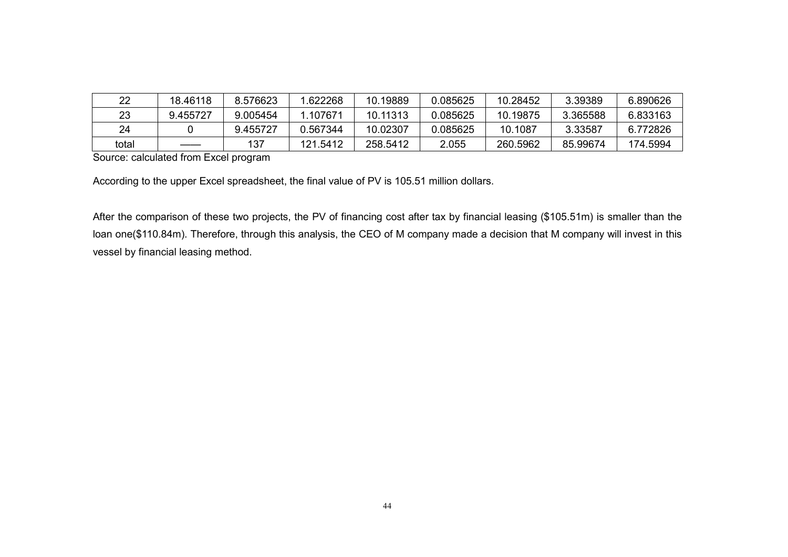| 22    | 18.46118 | 8.576623 | .622268  | 10.19889 | 0.085625 | 10.28452 | 3.39389  | 6.890626 |
|-------|----------|----------|----------|----------|----------|----------|----------|----------|
| 23    | 9.455727 | 9.005454 | 1 107671 | 10.11313 | 0.085625 | 10.19875 | 3.365588 | 6.833163 |
| 24    |          | 9.455727 | 0.567344 | 10.02307 | 0.085625 | 10.1087  | 3.33587  | 6.772826 |
| total |          | 137      | 121.5412 | 258.5412 | 2.055    | 260.5962 | 85.99674 | 174.5994 |

Source: calculated from Excel program

According to the upper Excel spreadsheet, the final value of PV is 105.51 million dollars.

After the comparison of these two projects, the PV of financing cost after tax by financial leasing (\$105.51m) is smaller than the loan one(\$110.84m). Therefore, through this analysis, the CEO of M company made a decision that M company will invest in this vessel by financial leasing method.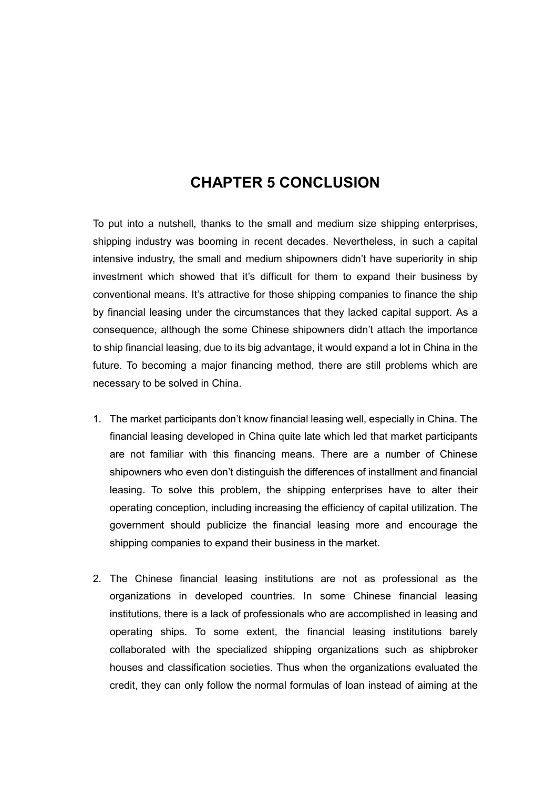## CHAPTER 5 CONCLUSION

To put into a nutshell, thanks to the small and medium size shipping enterprises, shipping industry was booming in recent decades. Nevertheless, in such a capital intensive industry, the small and medium shipowners didn't have superiority in ship investment which showed that it's difficult for them to expand their business by conventional means. It's attractive for those shipping companies to finance the ship by financial leasing under the circumstances that they lacked capital support. As a consequence, although the some Chinese shipowners didn't attach the importance to ship financial leasing, due to its big advantage, it would expand a lot in China in the future. To becoming a major financing method, there are still problems which are necessary to be solved in China.

- 1. The market participants don't know financial leasing well, especially in China. The financial leasing developed in China quite late which led that market participants are not familiar with this financing means. There are a number of Chinese shipowners who even don't distinguish the differences of installment and financial leasing. To solve this problem, the shipping enterprises have to alter their operating conception, including increasing the efficiency of capital utilization. The government should publicize the financial leasing more and encourage the shipping companies to expand their business in the market.
- 2. The Chinese financial leasing institutions are not as professional as the organizations in developed countries. In some Chinese financial leasing institutions, there is a lack of professionals who are accomplished in leasing and operating ships. To some extent, the financial leasing institutions barely collaborated with the specialized shipping organizations such as shipbroker houses and classification societies. Thus when the organizations evaluated the credit, they can only follow the normal formulas of loan instead of aiming at the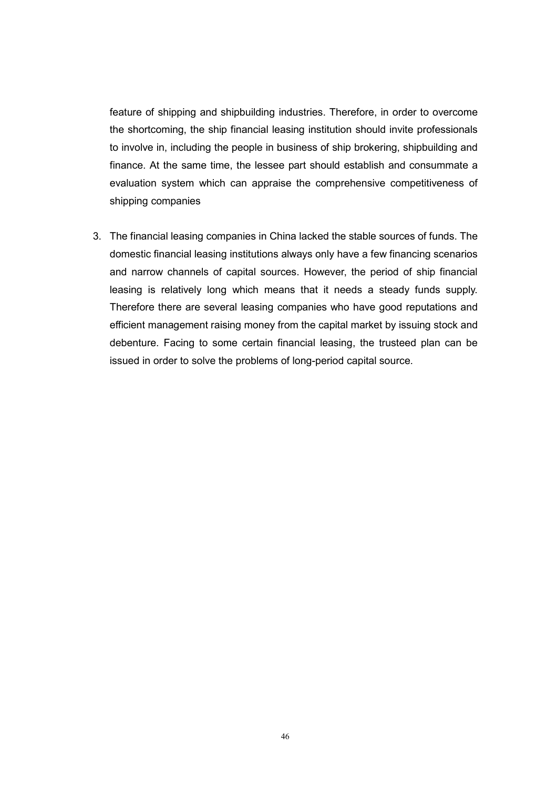feature of shipping and shipbuilding industries. Therefore, in order to overcome the shortcoming, the ship financial leasing institution should invite professionals to involve in, including the people in business of ship brokering, shipbuilding and finance. At the same time, the lessee part should establish and consummate a evaluation system which can appraise the comprehensive competitiveness of shipping companies

3. The financial leasing companies in China lacked the stable sources of funds. The domestic financial leasing institutions always only have a few financing scenarios and narrow channels of capital sources. However, the period of ship financial leasing is relatively long which means that it needs a steady funds supply. Therefore there are several leasing companies who have good reputations and efficient management raising money from the capital market by issuing stock and debenture. Facing to some certain financial leasing, the trusteed plan can be issued in order to solve the problems of long-period capital source.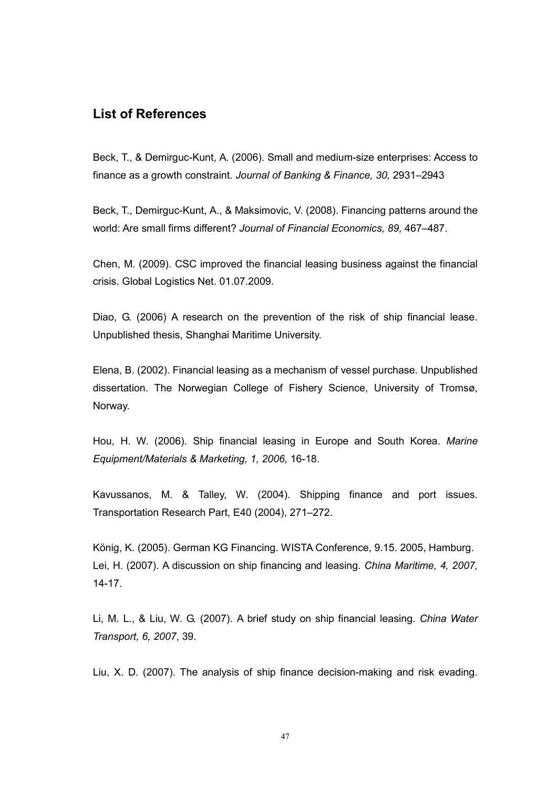### List of References

Beck, T., & Demirguc-Kunt, A. (2006). Small and medium-size enterprises: Access to finance as a growth constraint. Journal of Banking & Finance, 30, 2931–2943

Beck, T., Demirguc-Kunt, A., & Maksimovic, V. (2008). Financing patterns around the world: Are small firms different? Journal of Financial Economics, 89, 467–487.

Chen, M. (2009). CSC improved the financial leasing business against the financial crisis. Global Logistics Net. 01.07.2009.

Diao, G. (2006) A research on the prevention of the risk of ship financial lease. Unpublished thesis, Shanghai Maritime University.

Elena, B. (2002). Financial leasing as a mechanism of vessel purchase. Unpublished dissertation. The Norwegian College of Fishery Science, University of Tromsø, Norway.

Hou, H. W. (2006). Ship financial leasing in Europe and South Korea. Marine Equipment/Materials & Marketing, 1, 2006, 16-18.

Kavussanos, M. & Talley, W. (2004). Shipping finance and port issues. Transportation Research Part, E40 (2004), 271–272.

König, K. (2005). German KG Financing. WISTA Conference, 9.15. 2005, Hamburg. Lei, H. (2007). A discussion on ship financing and leasing. China Maritime, 4, 2007, 14-17.

Li, M. L., & Liu, W. G. (2007). A brief study on ship financial leasing. China Water Transport, 6, 2007, 39.

Liu, X. D. (2007). The analysis of ship finance decision-making and risk evading.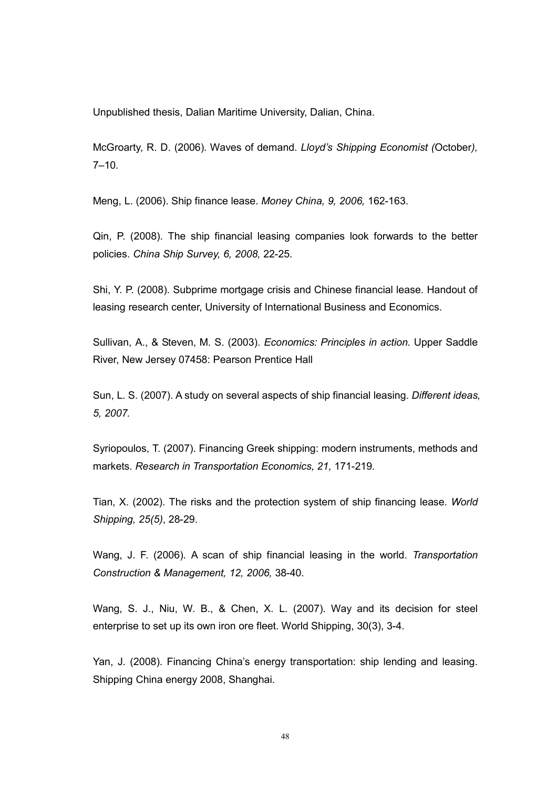Unpublished thesis, Dalian Maritime University, Dalian, China.

McGroarty, R. D. (2006). Waves of demand. Lloyd's Shipping Economist (October),  $7 - 10.$ 

Meng, L. (2006). Ship finance lease. Money China, 9, 2006, 162-163.

Qin, P. (2008). The ship financial leasing companies look forwards to the better policies. China Ship Survey, 6, 2008, 22-25.

Shi, Y. P. (2008). Subprime mortgage crisis and Chinese financial lease. Handout of leasing research center, University of International Business and Economics.

Sullivan, A., & Steven, M. S. (2003). Economics: Principles in action. Upper Saddle River, New Jersey 07458: Pearson Prentice Hall

Sun, L. S. (2007). A study on several aspects of ship financial leasing. Different ideas, 5, 2007.

Syriopoulos, T. (2007). Financing Greek shipping: modern instruments, methods and markets. Research in Transportation Economics, 21, 171-219.

Tian, X. (2002). The risks and the protection system of ship financing lease. World Shipping, 25(5), 28-29.

Wang, J. F. (2006). A scan of ship financial leasing in the world. Transportation Construction & Management, 12, 2006, 38-40.

Wang, S. J., Niu, W. B., & Chen, X. L. (2007). Way and its decision for steel enterprise to set up its own iron ore fleet. World Shipping, 30(3), 3-4.

Yan, J. (2008). Financing China's energy transportation: ship lending and leasing. Shipping China energy 2008, Shanghai.